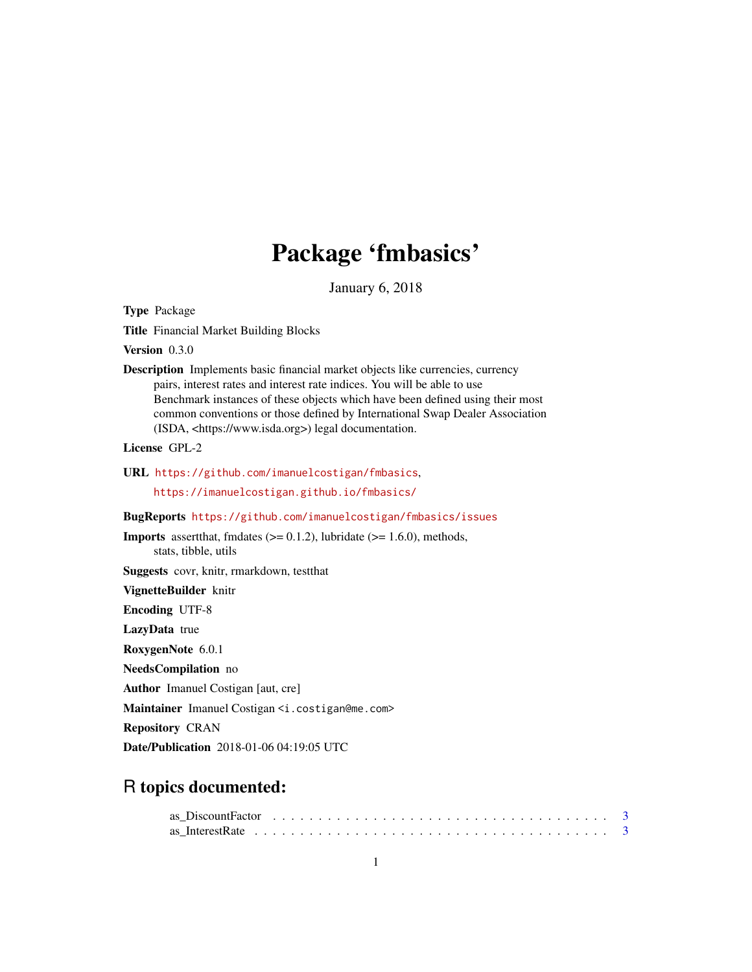## Package 'fmbasics'

January 6, 2018

<span id="page-0-0"></span>Type Package

Title Financial Market Building Blocks

Version 0.3.0

Description Implements basic financial market objects like currencies, currency pairs, interest rates and interest rate indices. You will be able to use Benchmark instances of these objects which have been defined using their most common conventions or those defined by International Swap Dealer Association (ISDA, <https://www.isda.org>) legal documentation.

License GPL-2

URL <https://github.com/imanuelcostigan/fmbasics>,

<https://imanuelcostigan.github.io/fmbasics/>

#### BugReports <https://github.com/imanuelcostigan/fmbasics/issues>

**Imports** assert that, fmdates  $(>= 0.1.2)$ , lubridate  $(>= 1.6.0)$ , methods, stats, tibble, utils

Suggests covr, knitr, rmarkdown, testthat

VignetteBuilder knitr

Encoding UTF-8

LazyData true

RoxygenNote 6.0.1

NeedsCompilation no

Author Imanuel Costigan [aut, cre]

Maintainer Imanuel Costigan <i.costigan@me.com>

Repository CRAN

Date/Publication 2018-01-06 04:19:05 UTC

## R topics documented:

| as DiscountFactor $\ldots \ldots \ldots \ldots \ldots \ldots \ldots \ldots \ldots \ldots \ldots \ldots$ |  |  |  |  |  |  |  |  |  |  |  |  |  |  |  |  |  |  |
|---------------------------------------------------------------------------------------------------------|--|--|--|--|--|--|--|--|--|--|--|--|--|--|--|--|--|--|
|                                                                                                         |  |  |  |  |  |  |  |  |  |  |  |  |  |  |  |  |  |  |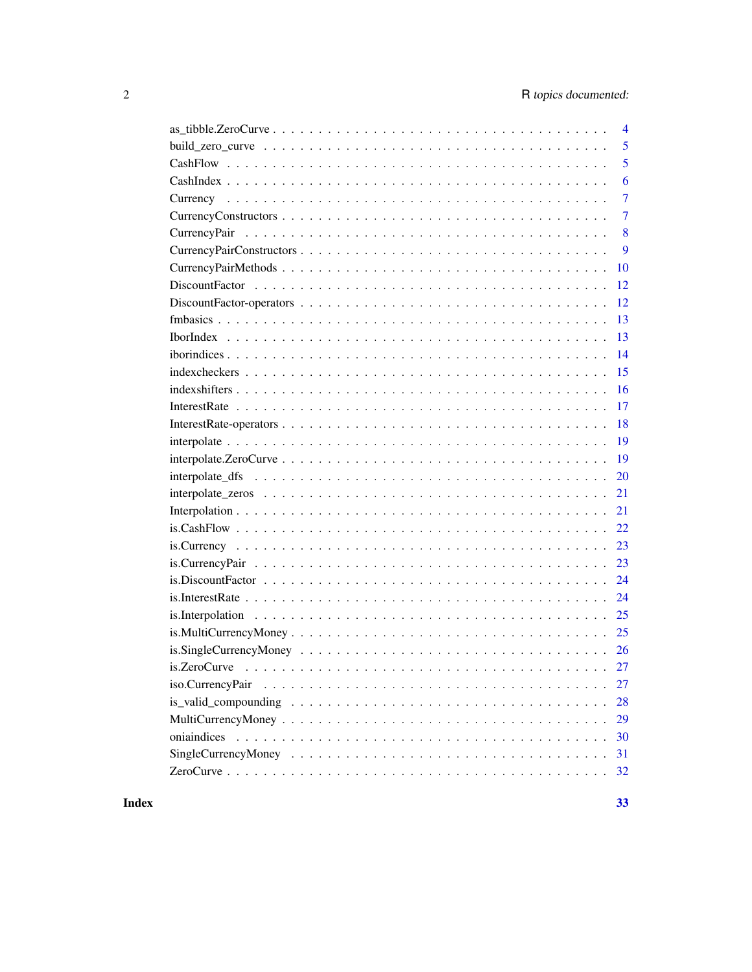| $\overline{4}$                                                                                                          |
|-------------------------------------------------------------------------------------------------------------------------|
| 5                                                                                                                       |
| 5                                                                                                                       |
| 6                                                                                                                       |
| $\overline{7}$                                                                                                          |
| $\overline{7}$                                                                                                          |
| 8                                                                                                                       |
| 9                                                                                                                       |
| 10                                                                                                                      |
| 12                                                                                                                      |
| 12                                                                                                                      |
| 13                                                                                                                      |
| 13                                                                                                                      |
| 14                                                                                                                      |
| 15                                                                                                                      |
| 16                                                                                                                      |
| 17                                                                                                                      |
| 18                                                                                                                      |
| 19                                                                                                                      |
| 19                                                                                                                      |
| 20                                                                                                                      |
| 21                                                                                                                      |
| 21                                                                                                                      |
| 22<br>$is. CashFlow \ldots \ldots \ldots \ldots \ldots \ldots \ldots \ldots \ldots \ldots \ldots \ldots$                |
| 23                                                                                                                      |
| 23                                                                                                                      |
| 24                                                                                                                      |
| 24                                                                                                                      |
|                                                                                                                         |
|                                                                                                                         |
|                                                                                                                         |
|                                                                                                                         |
| 27                                                                                                                      |
| is_valid_compounding $\ldots \ldots \ldots \ldots \ldots \ldots \ldots \ldots \ldots \ldots \ldots$<br>28               |
| 29                                                                                                                      |
| 30                                                                                                                      |
| Single Currency Money $\dots \dots \dots \dots \dots \dots \dots \dots \dots \dots \dots \dots \dots \dots \dots$<br>31 |
| 32                                                                                                                      |

#### **Index** [33](#page-32-0)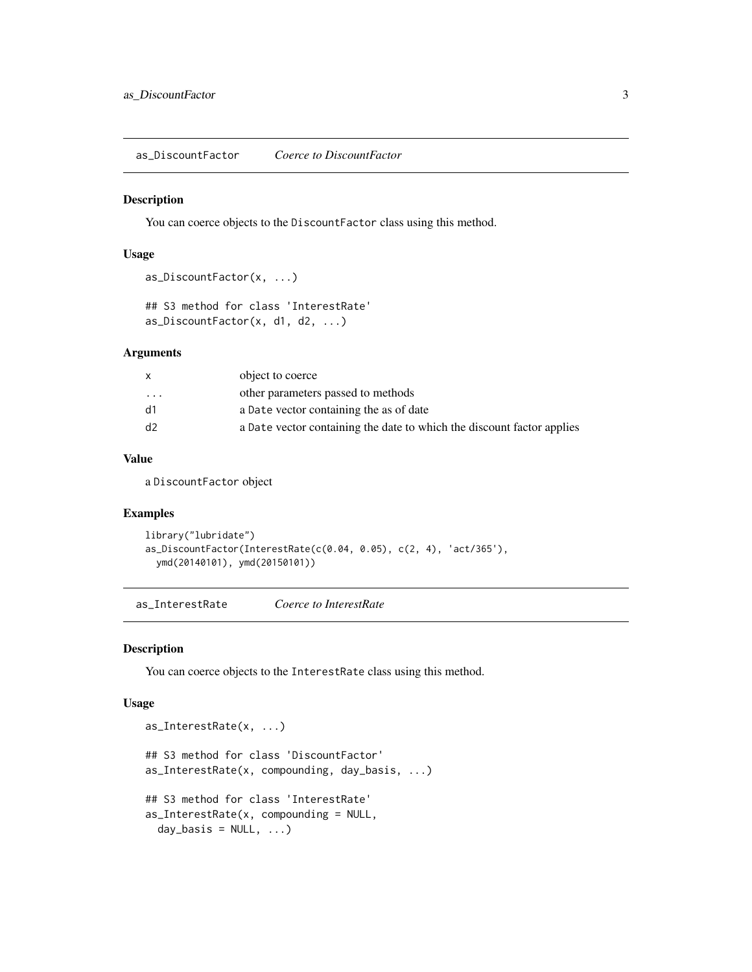<span id="page-2-0"></span>as\_DiscountFactor *Coerce to DiscountFactor*

#### Description

You can coerce objects to the DiscountFactor class using this method.

#### Usage

```
as_DiscountFactor(x, ...)
```
## S3 method for class 'InterestRate' as\_DiscountFactor(x, d1, d2, ...)

### Arguments

|           | object to coerce                                                       |
|-----------|------------------------------------------------------------------------|
| $\ddotsc$ | other parameters passed to methods                                     |
| d1        | a Date vector containing the as of date                                |
| d2        | a Date vector containing the date to which the discount factor applies |
|           |                                                                        |

### Value

a DiscountFactor object

### Examples

```
library("lubridate")
as_DiscountFactor(InterestRate(c(0.04, 0.05), c(2, 4), 'act/365'),
  ymd(20140101), ymd(20150101))
```
as\_InterestRate *Coerce to InterestRate*

### Description

You can coerce objects to the InterestRate class using this method.

#### Usage

```
as_InterestRate(x, ...)
## S3 method for class 'DiscountFactor'
as_InterestRate(x, compounding, day_basis, ...)
## S3 method for class 'InterestRate'
as_InterestRate(x, compounding = NULL,
 day_basis = NULL, ...)
```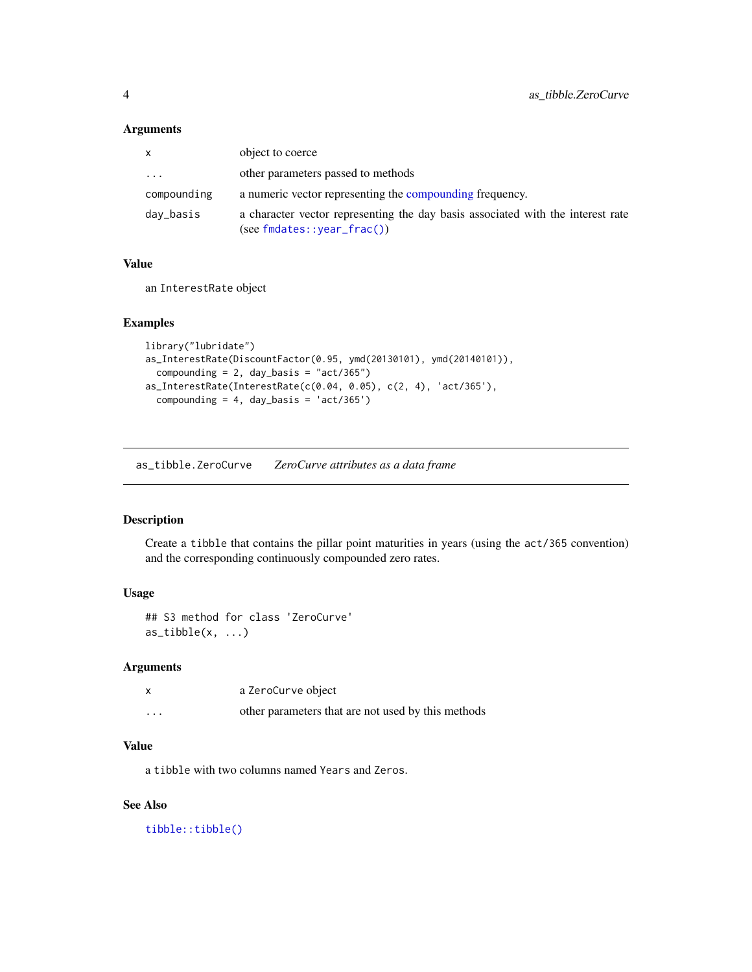### Arguments

| X           | object to coerce                                                                                                 |
|-------------|------------------------------------------------------------------------------------------------------------------|
| $\cdots$    | other parameters passed to methods                                                                               |
| compounding | a numeric vector representing the compounding frequency.                                                         |
| day_basis   | a character vector representing the day basis associated with the interest rate<br>$(see findates::year_frac())$ |

### Value

an InterestRate object

### Examples

```
library("lubridate")
as_InterestRate(DiscountFactor(0.95, ymd(20130101), ymd(20140101)),
  compounding = 2, day_basis = "act/365")
as_InterestRate(InterestRate(c(0.04, 0.05), c(2, 4), 'act/365'),
  compounding = 4, day_basis = 'act/365')
```
as\_tibble.ZeroCurve *ZeroCurve attributes as a data frame*

### Description

Create a tibble that contains the pillar point maturities in years (using the act/365 convention) and the corresponding continuously compounded zero rates.

### Usage

```
## S3 method for class 'ZeroCurve'
as\_tibble(x, \ldots)
```
### Arguments

|          | a ZeroCurve object                                 |
|----------|----------------------------------------------------|
| $\cdots$ | other parameters that are not used by this methods |

### Value

a tibble with two columns named Years and Zeros.

#### See Also

[tibble::tibble\(\)](#page-0-0)

<span id="page-3-0"></span>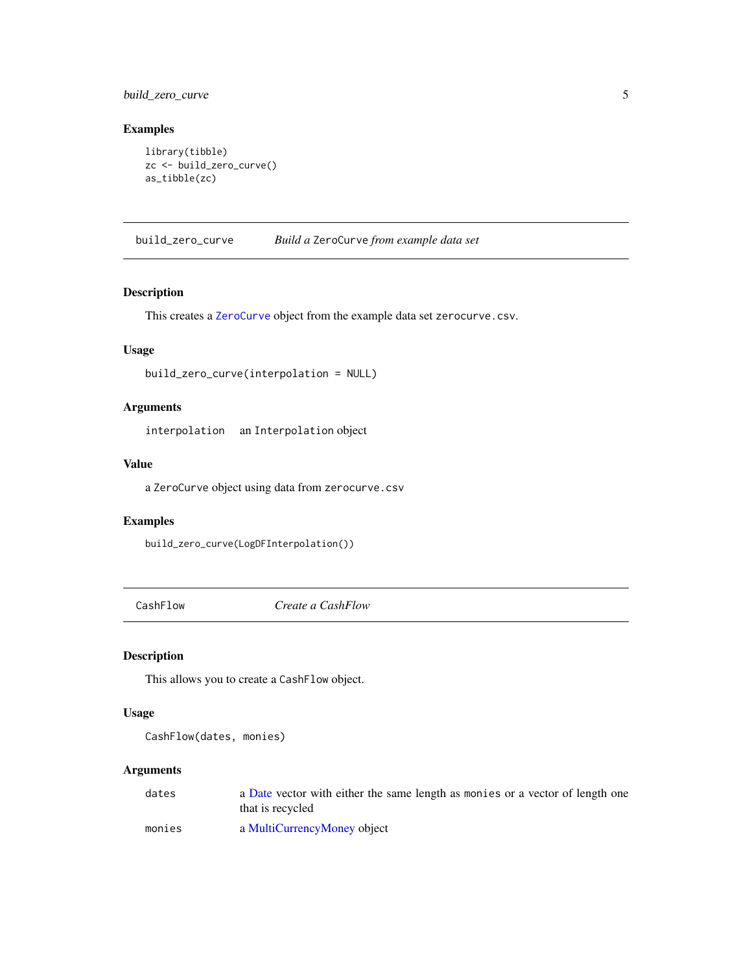### <span id="page-4-0"></span>build\_zero\_curve 5

### Examples

```
library(tibble)
zc <- build_zero_curve()
as_tibble(zc)
```
build\_zero\_curve *Build a* ZeroCurve *from example data set*

### Description

This creates a [ZeroCurve](#page-31-1) object from the example data set zerocurve.csv.

### Usage

```
build_zero_curve(interpolation = NULL)
```
### Arguments

interpolation an Interpolation object

### Value

a ZeroCurve object using data from zerocurve.csv

#### Examples

build\_zero\_curve(LogDFInterpolation())

<span id="page-4-1"></span>CashFlow *Create a CashFlow*

### Description

This allows you to create a CashFlow object.

#### Usage

```
CashFlow(dates, monies)
```
### Arguments

| dates  | a Date vector with either the same length as monies or a vector of length one |
|--------|-------------------------------------------------------------------------------|
|        | that is recycled                                                              |
| monies | a MultiCurrencyMoney object                                                   |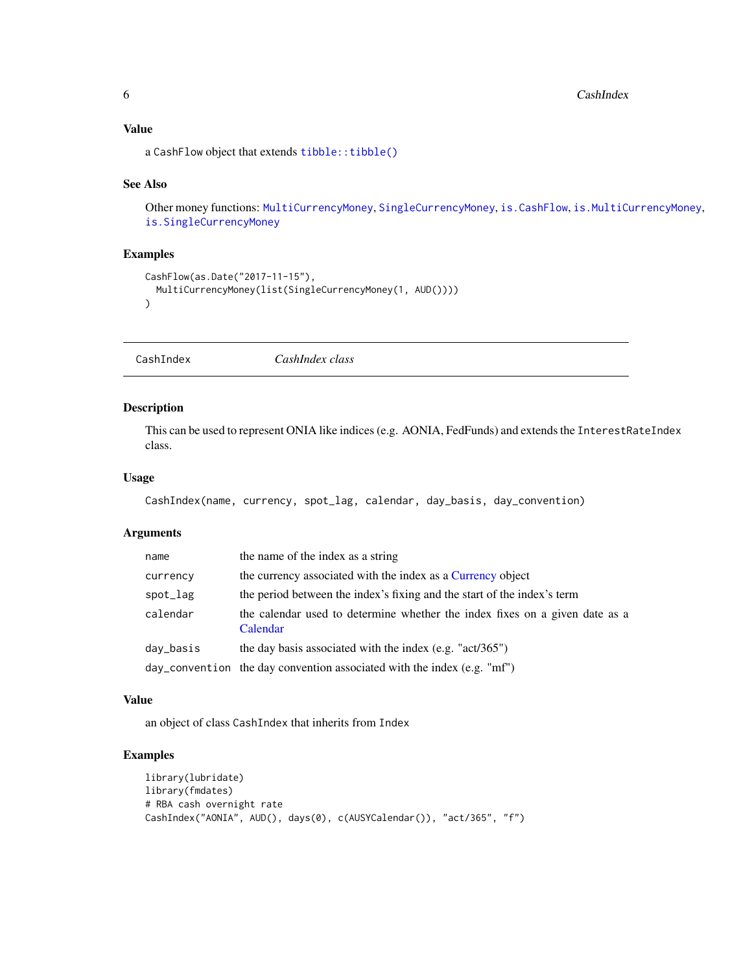### <span id="page-5-0"></span>Value

a CashFlow object that extends [tibble::tibble\(\)](#page-0-0)

### See Also

Other money functions: [MultiCurrencyMoney](#page-28-1), [SingleCurrencyMoney](#page-30-1), [is.CashFlow](#page-21-1), [is.MultiCurrencyMoney](#page-24-1), [is.SingleCurrencyMoney](#page-25-1)

### Examples

```
CashFlow(as.Date("2017-11-15"),
  MultiCurrencyMoney(list(SingleCurrencyMoney(1, AUD())))
)
```
CashIndex *CashIndex class*

### Description

This can be used to represent ONIA like indices (e.g. AONIA, FedFunds) and extends the InterestRateIndex class.

### Usage

```
CashIndex(name, currency, spot_lag, calendar, day_basis, day_convention)
```
### Arguments

| name      | the name of the index as a string                                                       |
|-----------|-----------------------------------------------------------------------------------------|
| currency  | the currency associated with the index as a Currency object                             |
| spot_lag  | the period between the index's fixing and the start of the index's term                 |
| calendar  | the calendar used to determine whether the index fixes on a given date as a<br>Calendar |
| day_basis | the day basis associated with the index $(e.g. "act/365")$                              |
|           | day_convention the day convention associated with the index (e.g. "mf")                 |

#### Value

an object of class CashIndex that inherits from Index

### Examples

```
library(lubridate)
library(fmdates)
# RBA cash overnight rate
CashIndex("AONIA", AUD(), days(0), c(AUSYCalendar()), "act/365", "f")
```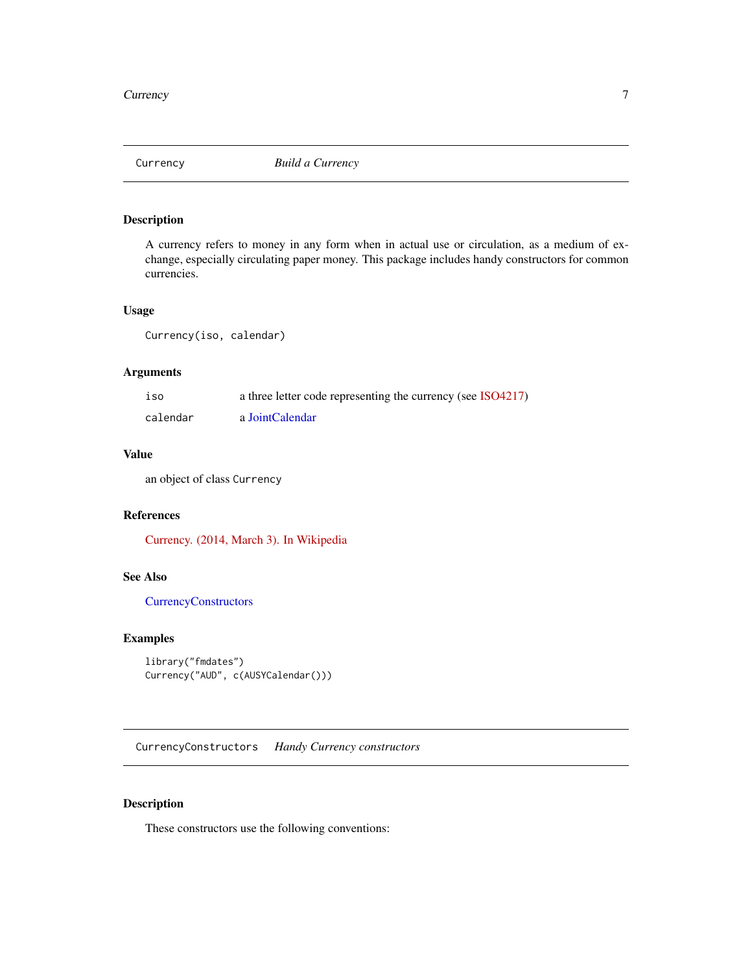<span id="page-6-1"></span><span id="page-6-0"></span>

A currency refers to money in any form when in actual use or circulation, as a medium of exchange, especially circulating paper money. This package includes handy constructors for common currencies.

### Usage

Currency(iso, calendar)

### Arguments

| 1S <sub>0</sub> | a three letter code representing the currency (see ISO4217) |
|-----------------|-------------------------------------------------------------|
| calendar        | a JointCalendar                                             |

### Value

an object of class Currency

### References

[Currency. \(2014, March 3\). In Wikipedia](http://en.wikipedia.org/w/index.php?title=Currency&oldid=598027200)

### See Also

[CurrencyConstructors](#page-6-2)

### Examples

```
library("fmdates")
Currency("AUD", c(AUSYCalendar()))
```
<span id="page-6-2"></span>CurrencyConstructors *Handy Currency constructors*

### Description

These constructors use the following conventions: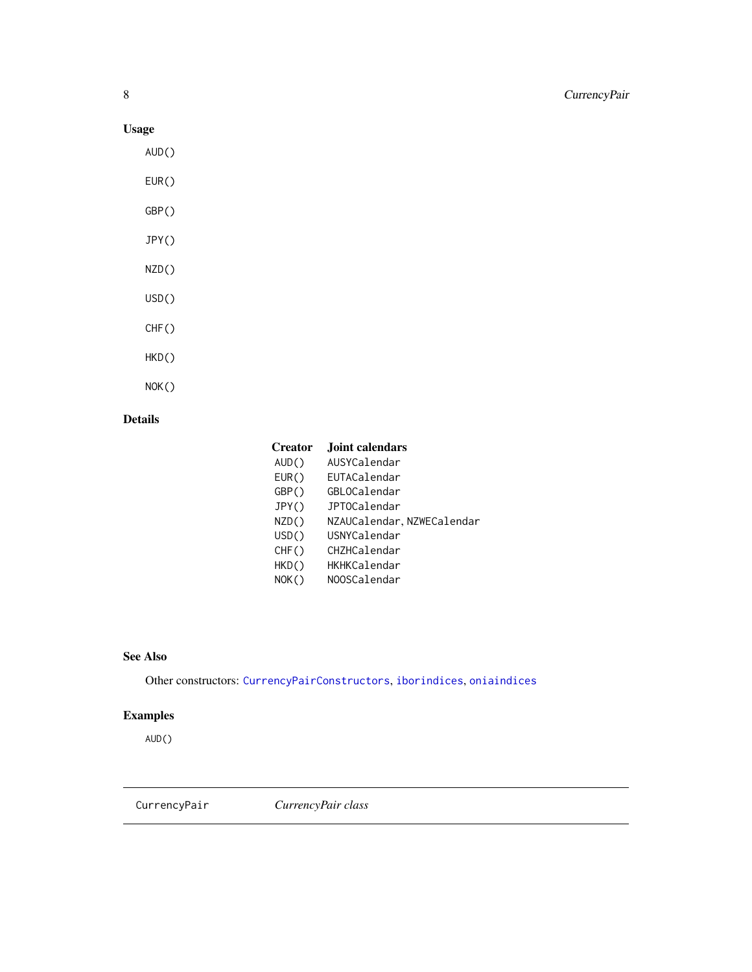### Usage

AUD()

EUR()

- GBP()
- JPY()
- NZD()
- USD()
- CHF()
- HKD()
- NOK()

### Details

| <b>Creator</b> | <b>Joint calendars</b>     |
|----------------|----------------------------|
| AUD()          | AUSYCalendar               |
| EUR()          | EUTACalendar               |
| GBP()          | GBLOCalendar               |
| JPY()          | <b>JPTOCalendar</b>        |
| NZD()          | NZAUCalendar, NZWECalendar |
| USD()          | USNYCalendar               |
| CHF()          | CHZHCalendar               |
| HKD()          | HKHKCalendar               |
| NOK()          | NOOSCalendar               |

### See Also

Other constructors: [CurrencyPairConstructors](#page-8-1), [iborindices](#page-13-1), [oniaindices](#page-29-1)

### Examples

AUD()

CurrencyPair *CurrencyPair class*

<span id="page-7-0"></span>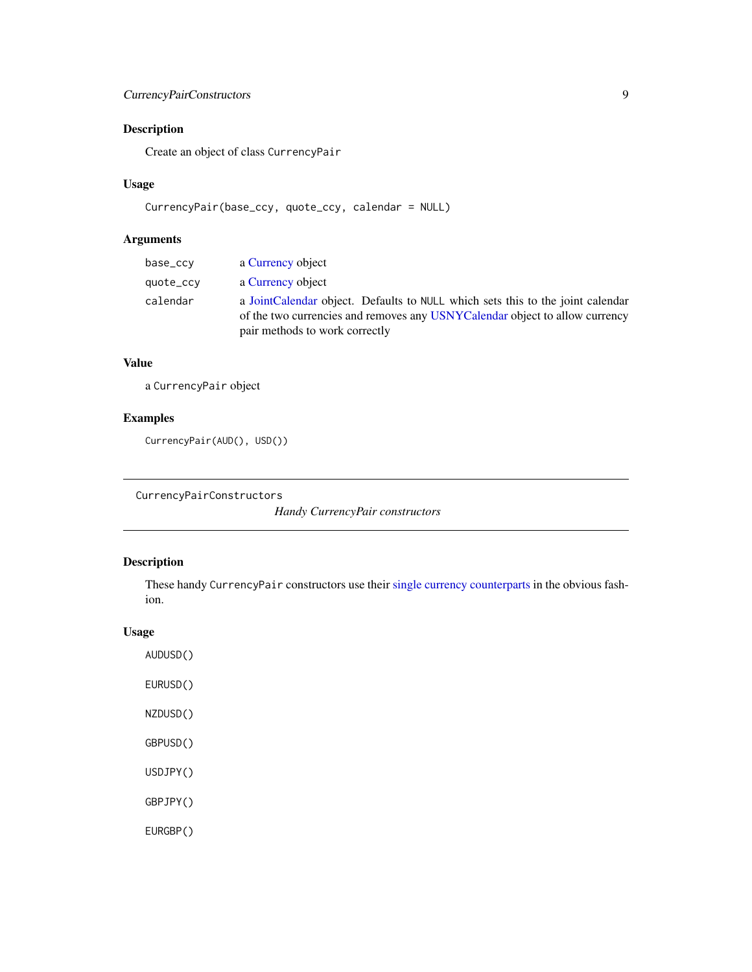### <span id="page-8-0"></span>CurrencyPairConstructors 9

### Description

Create an object of class CurrencyPair

### Usage

```
CurrencyPair(base_ccy, quote_ccy, calendar = NULL)
```
### Arguments

| base_ccy  | a Currency object                                                                                                                                                                               |
|-----------|-------------------------------------------------------------------------------------------------------------------------------------------------------------------------------------------------|
| quote_ccy | a Currency object                                                                                                                                                                               |
| calendar  | a JointCalendar object. Defaults to NULL which sets this to the joint calendar<br>of the two currencies and removes any USNYCalendar object to allow currency<br>pair methods to work correctly |

### Value

a CurrencyPair object

### Examples

```
CurrencyPair(AUD(), USD())
```
<span id="page-8-1"></span>CurrencyPairConstructors

*Handy CurrencyPair constructors*

### Description

These handy CurrencyPair constructors use their [single currency counterparts](#page-6-2) in the obvious fashion.

### Usage

AUDUSD() EURUSD() NZDUSD() GBPUSD() USDJPY() GBPJPY() EURGBP()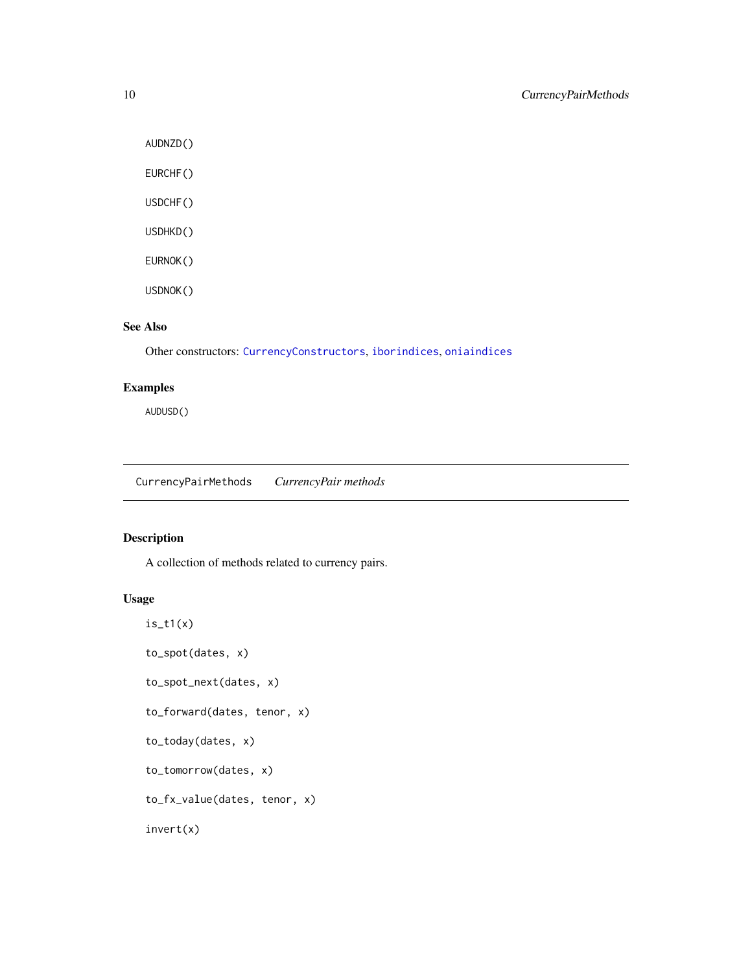AUDNZD()

EURCHF()

USDCHF()

USDHKD()

EURNOK()

USDNOK()

### See Also

Other constructors: [CurrencyConstructors](#page-6-2), [iborindices](#page-13-1), [oniaindices](#page-29-1)

### Examples

AUDUSD()

CurrencyPairMethods *CurrencyPair methods*

### Description

A collection of methods related to currency pairs.

### Usage

 $is_t1(x)$ to\_spot(dates, x) to\_spot\_next(dates, x) to\_forward(dates, tenor, x) to\_today(dates, x) to\_tomorrow(dates, x) to\_fx\_value(dates, tenor, x) invert(x)

<span id="page-9-0"></span>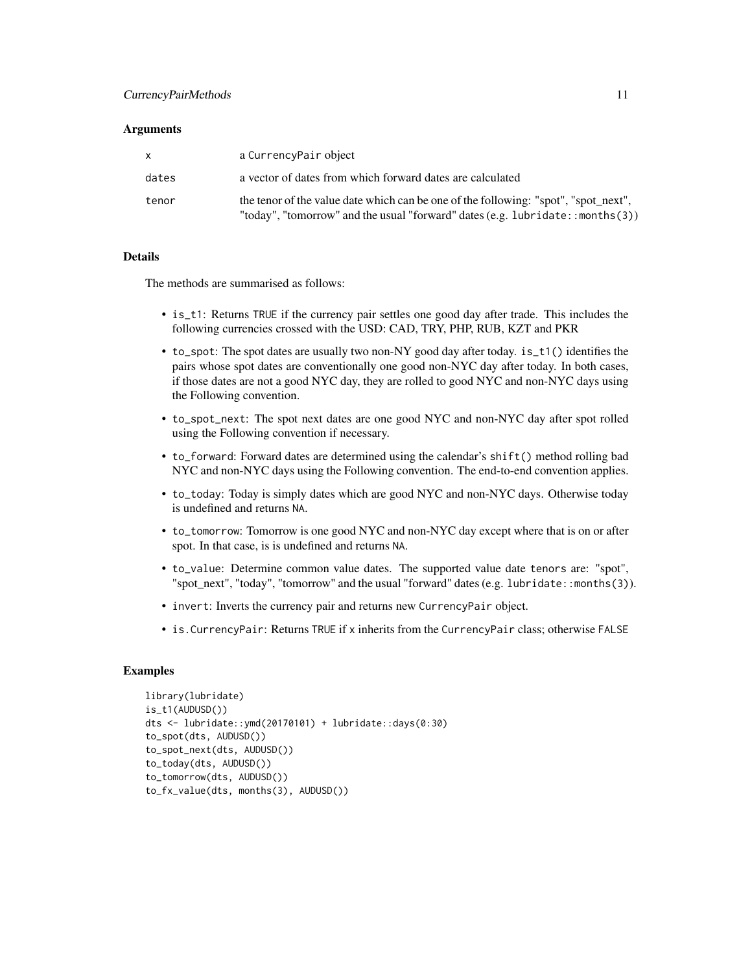### CurrencyPairMethods 11

#### **Arguments**

|       | a CurrencyPair object                                                                                                                                                |
|-------|----------------------------------------------------------------------------------------------------------------------------------------------------------------------|
| dates | a vector of dates from which forward dates are calculated                                                                                                            |
| tenor | the tenor of the value date which can be one of the following: "spot", "spot_next",<br>"today", "tomorrow" and the usual "forward" dates (e.g. lubridate::months(3)) |

### Details

The methods are summarised as follows:

- is\_t1: Returns TRUE if the currency pair settles one good day after trade. This includes the following currencies crossed with the USD: CAD, TRY, PHP, RUB, KZT and PKR
- to\_spot: The spot dates are usually two non-NY good day after today. is\_t1() identifies the pairs whose spot dates are conventionally one good non-NYC day after today. In both cases, if those dates are not a good NYC day, they are rolled to good NYC and non-NYC days using the Following convention.
- to\_spot\_next: The spot next dates are one good NYC and non-NYC day after spot rolled using the Following convention if necessary.
- to\_forward: Forward dates are determined using the calendar's shift() method rolling bad NYC and non-NYC days using the Following convention. The end-to-end convention applies.
- to\_today: Today is simply dates which are good NYC and non-NYC days. Otherwise today is undefined and returns NA.
- to\_tomorrow: Tomorrow is one good NYC and non-NYC day except where that is on or after spot. In that case, is is undefined and returns NA.
- to\_value: Determine common value dates. The supported value date tenors are: "spot", "spot\_next", "today", "tomorrow" and the usual "forward" dates (e.g. lubridate::months(3)).
- invert: Inverts the currency pair and returns new CurrencyPair object.
- is.CurrencyPair: Returns TRUE if x inherits from the CurrencyPair class; otherwise FALSE

#### Examples

```
library(lubridate)
is_t1(AUDUSD())
dts <- lubridate::ymd(20170101) + lubridate::days(0:30)
to_spot(dts, AUDUSD())
to_spot_next(dts, AUDUSD())
to_today(dts, AUDUSD())
to_tomorrow(dts, AUDUSD())
to_fx_value(dts, months(3), AUDUSD())
```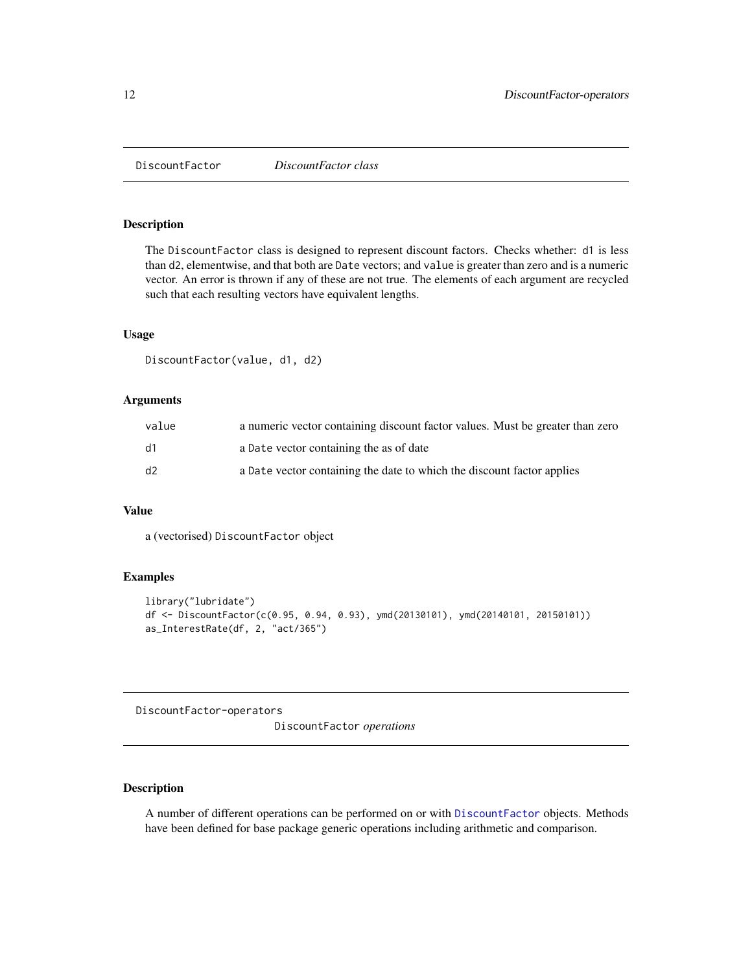<span id="page-11-1"></span><span id="page-11-0"></span>DiscountFactor *DiscountFactor class*

### Description

The DiscountFactor class is designed to represent discount factors. Checks whether: d1 is less than d2, elementwise, and that both are Date vectors; and value is greater than zero and is a numeric vector. An error is thrown if any of these are not true. The elements of each argument are recycled such that each resulting vectors have equivalent lengths.

#### Usage

```
DiscountFactor(value, d1, d2)
```
### Arguments

| value | a numeric vector containing discount factor values. Must be greater than zero |
|-------|-------------------------------------------------------------------------------|
| d1    | a Date vector containing the as of date                                       |
| d2    | a Date vector containing the date to which the discount factor applies        |

### Value

a (vectorised) DiscountFactor object

### Examples

```
library("lubridate")
df <- DiscountFactor(c(0.95, 0.94, 0.93), ymd(20130101), ymd(20140101, 20150101))
as_InterestRate(df, 2, "act/365")
```
DiscountFactor-operators

DiscountFactor *operations*

### Description

A number of different operations can be performed on or with [DiscountFactor](#page-11-1) objects. Methods have been defined for base package generic operations including arithmetic and comparison.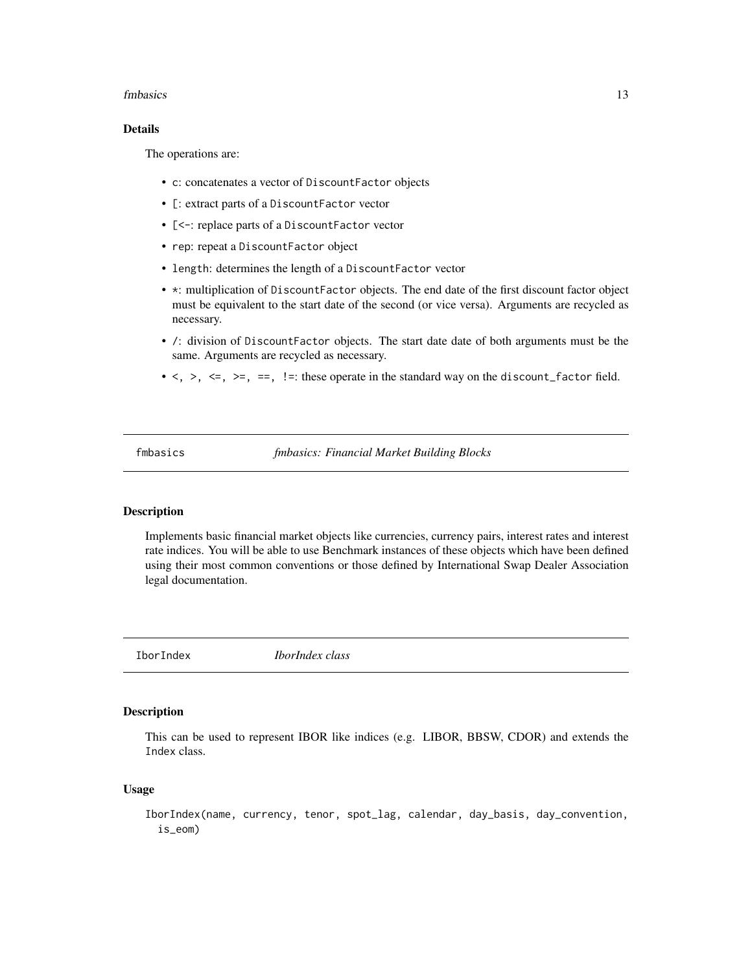#### <span id="page-12-0"></span>fmbasics 13

### Details

The operations are:

- c: concatenates a vector of DiscountFactor objects
- [: extract parts of a DiscountFactor vector
- [<-: replace parts of a DiscountFactor vector
- rep: repeat a DiscountFactor object
- length: determines the length of a DiscountFactor vector
- \*: multiplication of DiscountFactor objects. The end date of the first discount factor object must be equivalent to the start date of the second (or vice versa). Arguments are recycled as necessary.
- /: division of DiscountFactor objects. The start date date of both arguments must be the same. Arguments are recycled as necessary.
- $\langle \rangle$ ,  $\langle \rangle$ ,  $\langle \rangle$ ,  $\langle \rangle$ ,  $\langle \rangle$ ,  $\langle \rangle$ ,  $\langle \rangle$ . It is the standard way on the discount factor field.

fmbasics *fmbasics: Financial Market Building Blocks*

#### Description

Implements basic financial market objects like currencies, currency pairs, interest rates and interest rate indices. You will be able to use Benchmark instances of these objects which have been defined using their most common conventions or those defined by International Swap Dealer Association legal documentation.

IborIndex *IborIndex class*

#### Description

This can be used to represent IBOR like indices (e.g. LIBOR, BBSW, CDOR) and extends the Index class.

#### Usage

IborIndex(name, currency, tenor, spot\_lag, calendar, day\_basis, day\_convention, is\_eom)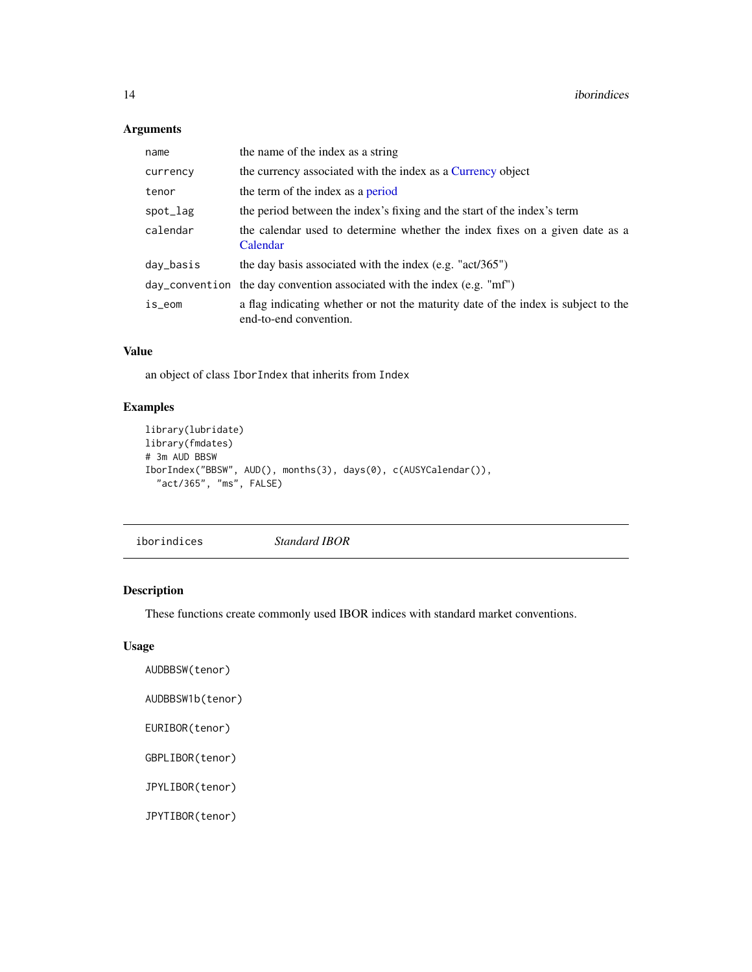### Arguments

| name      | the name of the index as a string                                                                           |
|-----------|-------------------------------------------------------------------------------------------------------------|
| currency  | the currency associated with the index as a Currency object                                                 |
| tenor     | the term of the index as a period                                                                           |
| spot_lag  | the period between the index's fixing and the start of the index's term                                     |
| calendar  | the calendar used to determine whether the index fixes on a given date as a<br>Calendar                     |
| day_basis | the day basis associated with the index $(e.g. "act/365")$                                                  |
|           | day_convention the day convention associated with the index (e.g. "mf")                                     |
| is_eom    | a flag indicating whether or not the maturity date of the index is subject to the<br>end-to-end convention. |

### Value

an object of class IborIndex that inherits from Index

### Examples

```
library(lubridate)
library(fmdates)
# 3m AUD BBSW
IborIndex("BBSW", AUD(), months(3), days(0), c(AUSYCalendar()),
  "act/365", "ms", FALSE)
```
<span id="page-13-1"></span>iborindices *Standard IBOR*

### Description

These functions create commonly used IBOR indices with standard market conventions.

### Usage

```
AUDBBSW(tenor)
```

```
AUDBBSW1b(tenor)
```

```
EURIBOR(tenor)
```
GBPLIBOR(tenor)

JPYLIBOR(tenor)

JPYTIBOR(tenor)

<span id="page-13-0"></span>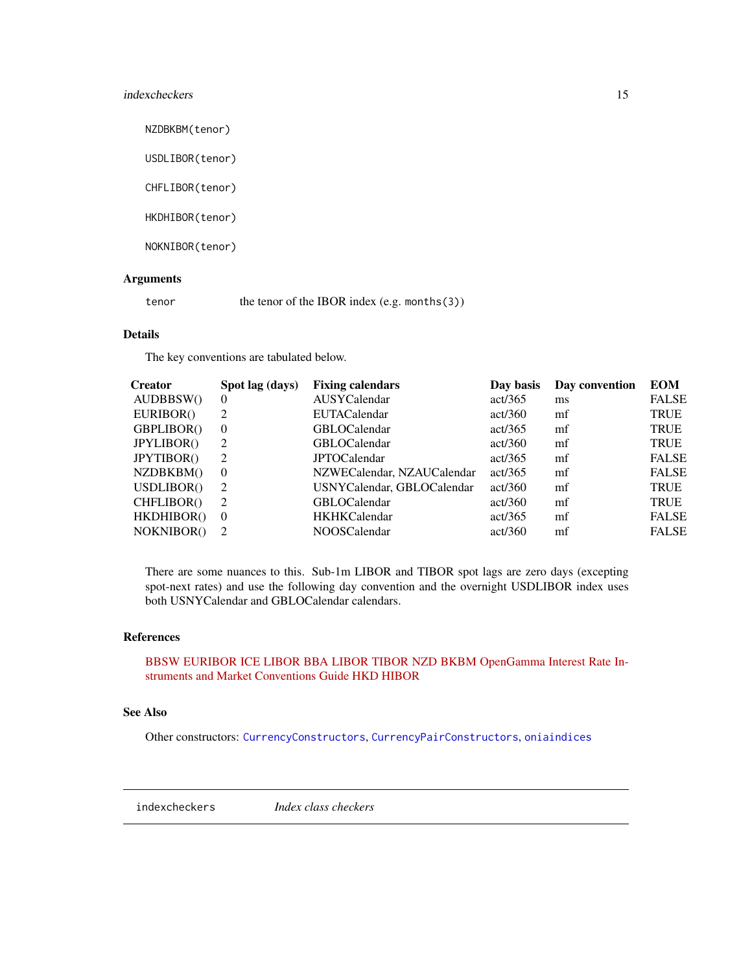### <span id="page-14-0"></span>indexcheckers 15

NZDBKBM(tenor)

USDLIBOR(tenor)

CHFLIBOR(tenor)

HKDHIBOR(tenor)

NOKNIBOR(tenor)

#### Arguments

tenor the tenor of the IBOR index (e.g. months(3))

### Details

The key conventions are tabulated below.

| Creator           | Spot lag (days) | <b>Fixing calendars</b>    | Day basis | Day convention | <b>EOM</b>   |
|-------------------|-----------------|----------------------------|-----------|----------------|--------------|
| AUDBBSW()         | $\theta$        | AUSYCalendar               | act/365   | ms             | <b>FALSE</b> |
| EURIBOR()         | 2               | <b>EUTACalendar</b>        | act/360   | mf             | <b>TRUE</b>  |
| GBPLIBOR()        | $\theta$        | <b>GBLOCalendar</b>        | act/365   | mf             | <b>TRUE</b>  |
| <b>JPYLIBOR()</b> | 2               | <b>GBLOCalendar</b>        | act/360   | mf             | <b>TRUE</b>  |
| <b>JPYTIBOR()</b> | 2               | <b>JPTOCalendar</b>        | act/365   | mf             | <b>FALSE</b> |
| NZDBKBM()         | $\theta$        | NZWECalendar, NZAUCalendar | act/365   | mf             | <b>FALSE</b> |
| USDLIBOR()        | 2               | USNYCalendar, GBLOCalendar | act/360   | mf             | <b>TRUE</b>  |
| CHFLIBOR()        | 2               | <b>GBLOCalendar</b>        | act/360   | mf             | <b>TRUE</b>  |
| HKDHIBOR()        | $\theta$        | <b>HKHKCalendar</b>        | act/365   | mf             | <b>FALSE</b> |
| NOKNIBOR()        | 2               | <b>NOOSCalendar</b>        | act/360   | mf             | <b>FALSE</b> |
|                   |                 |                            |           |                |              |

There are some nuances to this. Sub-1m LIBOR and TIBOR spot lags are zero days (excepting spot-next rates) and use the following day convention and the overnight USDLIBOR index uses both USNYCalendar and GBLOCalendar calendars.

#### References

[BBSW](http://www.asx.com.au/documents/products/bbsw-conventions.pdf) [EURIBOR](http://www.emmi-benchmarks.eu/assets/files/Euribor_tech_features.pdf) [ICE LIBOR](https://www.theice.com/iba/libor) [BBA LIBOR](http://www.bbalibor.com/technical-aspects/fixing-value-and-maturity) [TIBOR](http://www.jbatibor.or.jp/english/public/pdf/JBA%20TIBOR%20Operational%20RulesE.pdf) [NZD BKBM](http://www.nzfma.org/includes/download.aspx?ID=130053) [OpenGamma Interest Rate In](http://opnga.ma/conventions)[struments and Market Conventions Guide](http://opnga.ma/conventions) [HKD HIBOR](https://bank.hangseng.com/1/2/rates/hibor)

#### See Also

Other constructors: [CurrencyConstructors](#page-6-2), [CurrencyPairConstructors](#page-8-1), [oniaindices](#page-29-1)

indexcheckers *Index class checkers*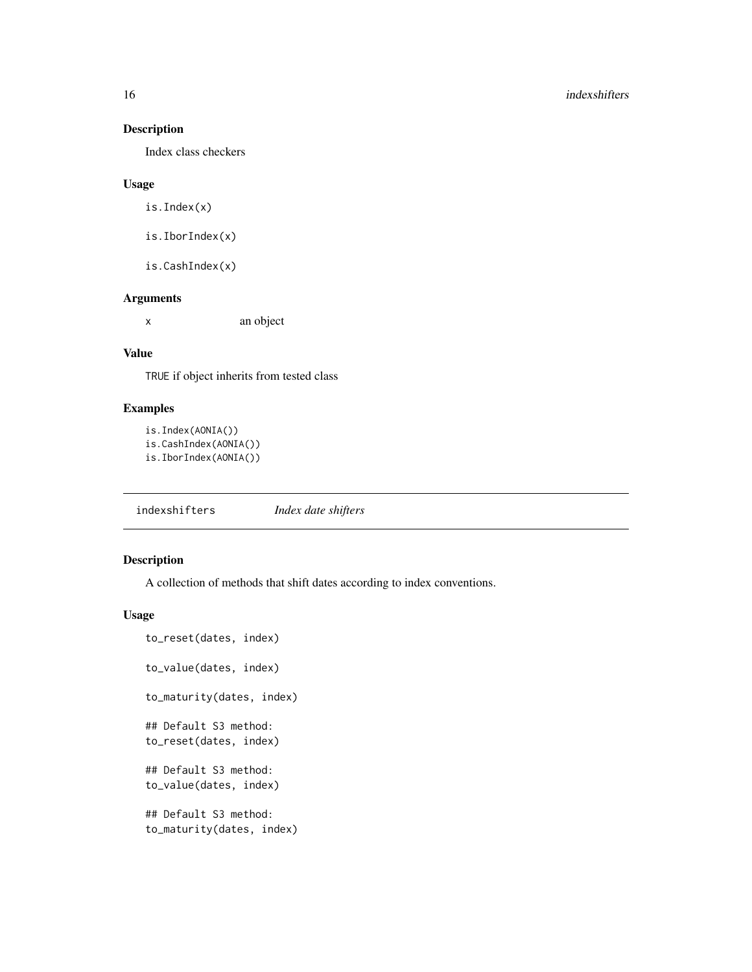Index class checkers

### Usage

is.Index(x)

is.IborIndex(x)

is.CashIndex(x)

### Arguments

x an object

### Value

TRUE if object inherits from tested class

### Examples

```
is.Index(AONIA())
is.CashIndex(AONIA())
is.IborIndex(AONIA())
```
indexshifters *Index date shifters*

### Description

A collection of methods that shift dates according to index conventions.

#### Usage

```
to_reset(dates, index)
to_value(dates, index)
to_maturity(dates, index)
## Default S3 method:
to_reset(dates, index)
## Default S3 method:
to_value(dates, index)
## Default S3 method:
to_maturity(dates, index)
```
<span id="page-15-0"></span>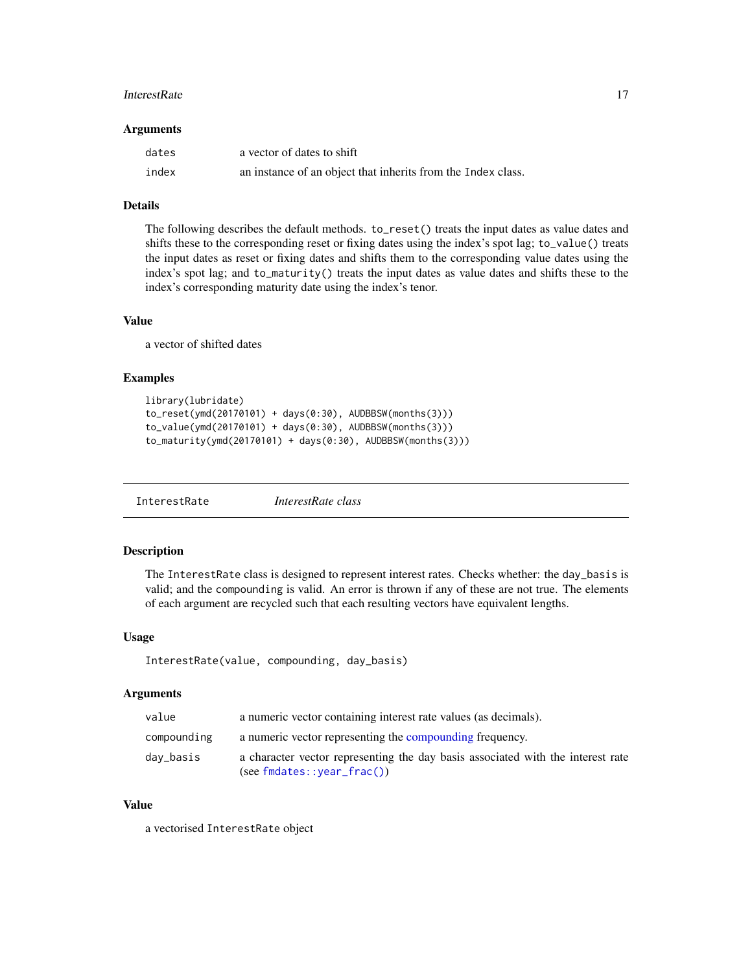#### <span id="page-16-0"></span>InterestRate 17

#### **Arguments**

| dates | a vector of dates to shift                                   |
|-------|--------------------------------------------------------------|
| index | an instance of an object that inherits from the Index class. |

### Details

The following describes the default methods. to\_reset() treats the input dates as value dates and shifts these to the corresponding reset or fixing dates using the index's spot lag; to\_value() treats the input dates as reset or fixing dates and shifts them to the corresponding value dates using the index's spot lag; and to\_maturity() treats the input dates as value dates and shifts these to the index's corresponding maturity date using the index's tenor.

#### Value

a vector of shifted dates

### Examples

```
library(lubridate)
to_reset(ymd(20170101) + days(0:30), AUDBBSW(months(3)))
to_value(ymd(20170101) + days(0:30), AUDBBSW(months(3)))
to_maturity(ymd(20170101) + days(0:30), AUDBBSW(months(3)))
```
<span id="page-16-1"></span>InterestRate *InterestRate class*

#### Description

The InterestRate class is designed to represent interest rates. Checks whether: the day\_basis is valid; and the compounding is valid. An error is thrown if any of these are not true. The elements of each argument are recycled such that each resulting vectors have equivalent lengths.

#### Usage

```
InterestRate(value, compounding, day_basis)
```
#### Arguments

| value       | a numeric vector containing interest rate values (as decimals).                                                      |
|-------------|----------------------------------------------------------------------------------------------------------------------|
| compounding | a numeric vector representing the compounding frequency.                                                             |
| day_basis   | a character vector representing the day basis associated with the interest rate<br>$(see \, findates::year\_frac())$ |

### Value

a vectorised InterestRate object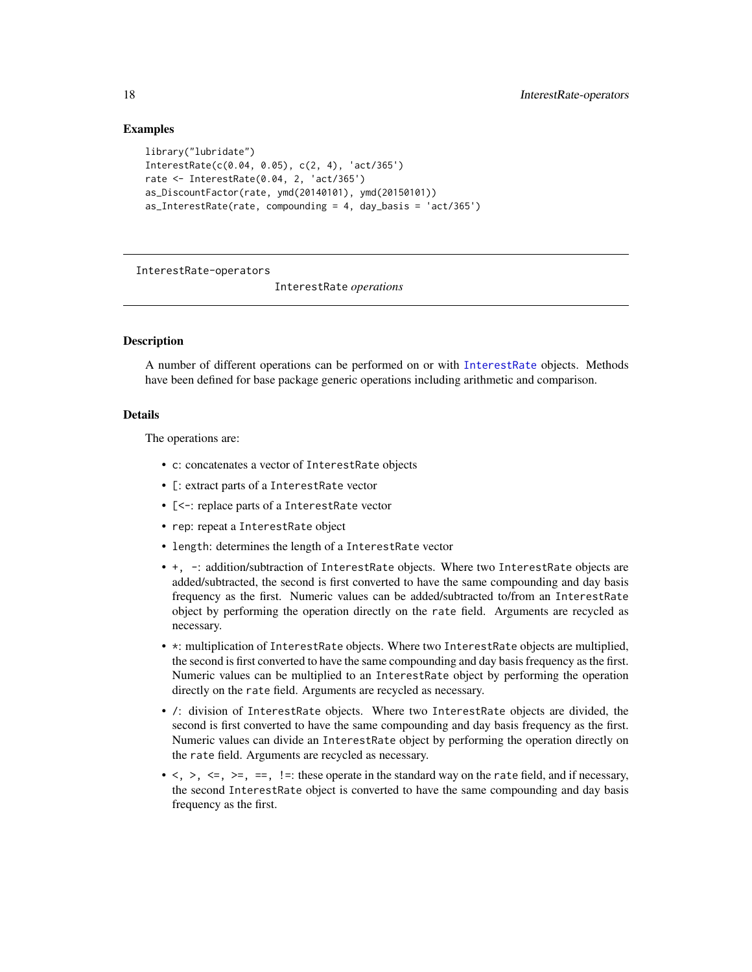### Examples

```
library("lubridate")
InterestRate(c(0.04, 0.05), c(2, 4), 'act/365')
rate <- InterestRate(0.04, 2, 'act/365')
as_DiscountFactor(rate, ymd(20140101), ymd(20150101))
as_InterestRate(rate, compounding = 4, day_basis = 'act/365')
```
InterestRate-operators

InterestRate *operations*

#### Description

A number of different operations can be performed on or with [InterestRate](#page-16-1) objects. Methods have been defined for base package generic operations including arithmetic and comparison.

#### Details

The operations are:

- c: concatenates a vector of InterestRate objects
- [: extract parts of a InterestRate vector
- [<-: replace parts of a InterestRate vector
- rep: repeat a InterestRate object
- length: determines the length of a InterestRate vector
- +, -: addition/subtraction of InterestRate objects. Where two InterestRate objects are added/subtracted, the second is first converted to have the same compounding and day basis frequency as the first. Numeric values can be added/subtracted to/from an InterestRate object by performing the operation directly on the rate field. Arguments are recycled as necessary.
- \*: multiplication of InterestRate objects. Where two InterestRate objects are multiplied, the second is first converted to have the same compounding and day basis frequency as the first. Numeric values can be multiplied to an InterestRate object by performing the operation directly on the rate field. Arguments are recycled as necessary.
- /: division of InterestRate objects. Where two InterestRate objects are divided, the second is first converted to have the same compounding and day basis frequency as the first. Numeric values can divide an InterestRate object by performing the operation directly on the rate field. Arguments are recycled as necessary.
- $\langle \rangle$ ,  $\langle \rangle$ ,  $\langle \rangle$  =,  $\langle \rangle$  =; these operate in the standard way on the rate field, and if necessary, the second InterestRate object is converted to have the same compounding and day basis frequency as the first.

<span id="page-17-0"></span>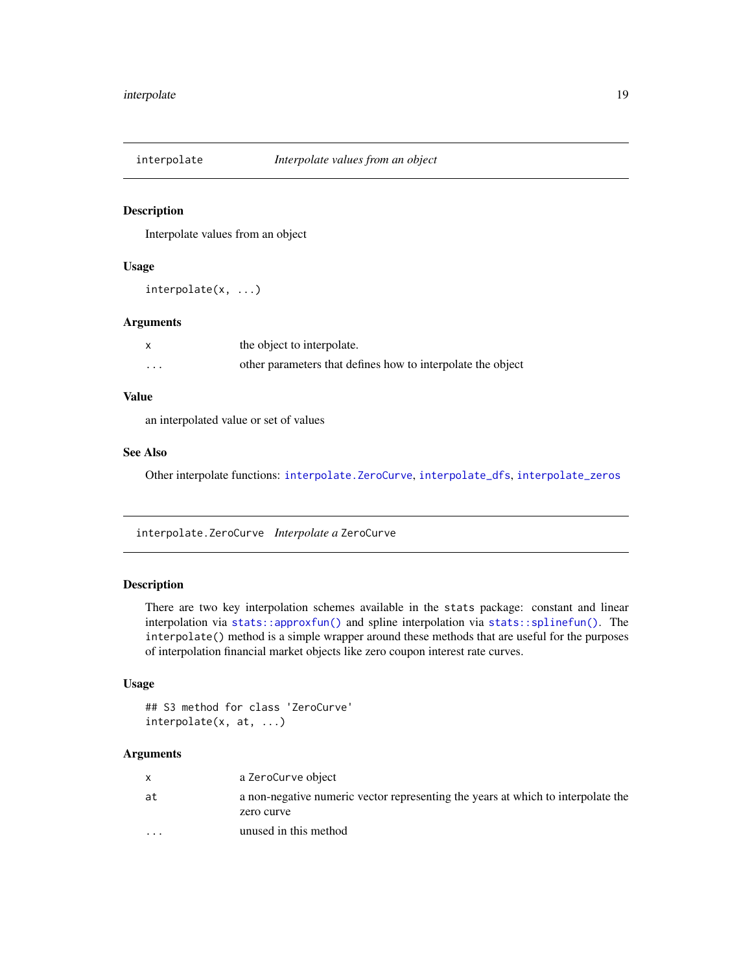<span id="page-18-2"></span><span id="page-18-0"></span>

Interpolate values from an object

#### Usage

interpolate(x, ...)

### Arguments

|                         | the object to interpolate.                                  |
|-------------------------|-------------------------------------------------------------|
| $\cdot$ $\cdot$ $\cdot$ | other parameters that defines how to interpolate the object |

### Value

an interpolated value or set of values

### See Also

Other interpolate functions: [interpolate.ZeroCurve](#page-18-1), [interpolate\\_dfs](#page-19-1), [interpolate\\_zeros](#page-20-1)

<span id="page-18-1"></span>interpolate.ZeroCurve *Interpolate a* ZeroCurve

### Description

There are two key interpolation schemes available in the stats package: constant and linear interpolation via [stats::approxfun\(\)](#page-0-0) and spline interpolation via [stats::splinefun\(\)](#page-0-0). The interpolate() method is a simple wrapper around these methods that are useful for the purposes of interpolation financial market objects like zero coupon interest rate curves.

#### Usage

```
## S3 method for class 'ZeroCurve'
interpolate(x, at, ...)
```
#### Arguments

|         | a ZeroCurve object                                                                             |
|---------|------------------------------------------------------------------------------------------------|
| at      | a non-negative numeric vector representing the years at which to interpolate the<br>zero curve |
| $\cdot$ | unused in this method                                                                          |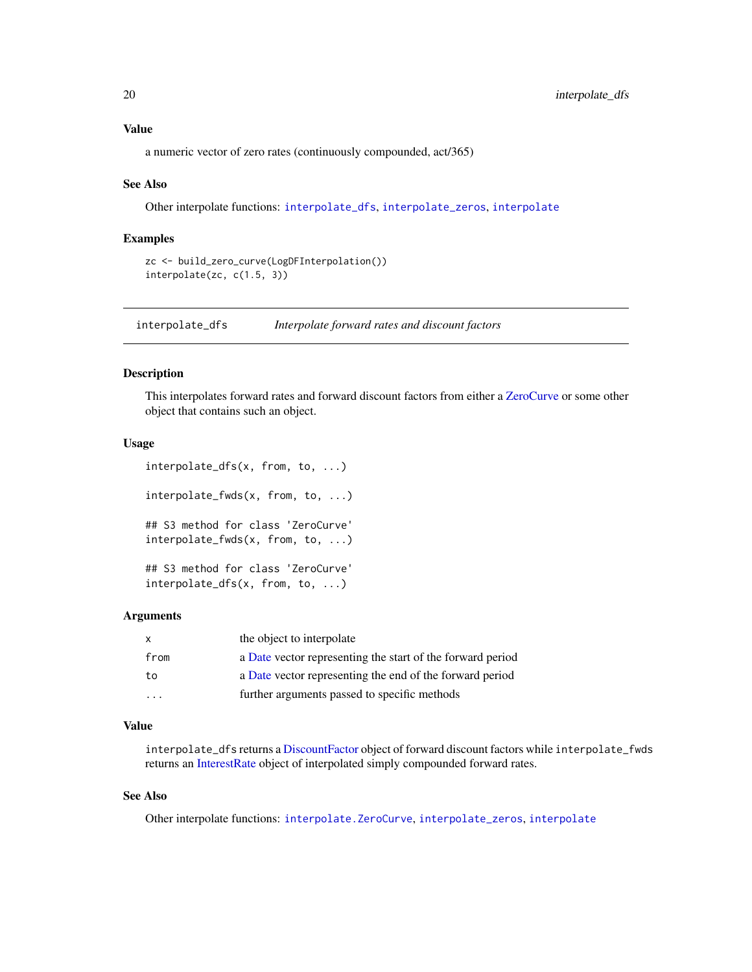<span id="page-19-0"></span>a numeric vector of zero rates (continuously compounded, act/365)

#### See Also

Other interpolate functions: [interpolate\\_dfs](#page-19-1), [interpolate\\_zeros](#page-20-1), [interpolate](#page-18-2)

#### Examples

```
zc <- build_zero_curve(LogDFInterpolation())
interpolate(zc, c(1.5, 3))
```
<span id="page-19-1"></span>interpolate\_dfs *Interpolate forward rates and discount factors*

### Description

This interpolates forward rates and forward discount factors from either a [ZeroCurve](#page-31-1) or some other object that contains such an object.

#### Usage

```
interpolate_dfs(x, from, to, ...)
interpolate_fwds(x, from, to, ...)
## S3 method for class 'ZeroCurve'
interpolate_fwds(x, from, to, ...)
## S3 method for class 'ZeroCurve'
interpolate_dfs(x, from, to, ...)
```
#### Arguments

| X                       | the object to interpolate                                  |
|-------------------------|------------------------------------------------------------|
| from                    | a Date vector representing the start of the forward period |
| to                      | a Date vector representing the end of the forward period   |
| $\cdot$ $\cdot$ $\cdot$ | further arguments passed to specific methods               |

#### Value

interpolate\_dfs returns a [DiscountFactor](#page-11-1) object of forward discount factors while interpolate\_fwds returns an [InterestRate](#page-16-1) object of interpolated simply compounded forward rates.

#### See Also

Other interpolate functions: [interpolate.ZeroCurve](#page-18-1), [interpolate\\_zeros](#page-20-1), [interpolate](#page-18-2)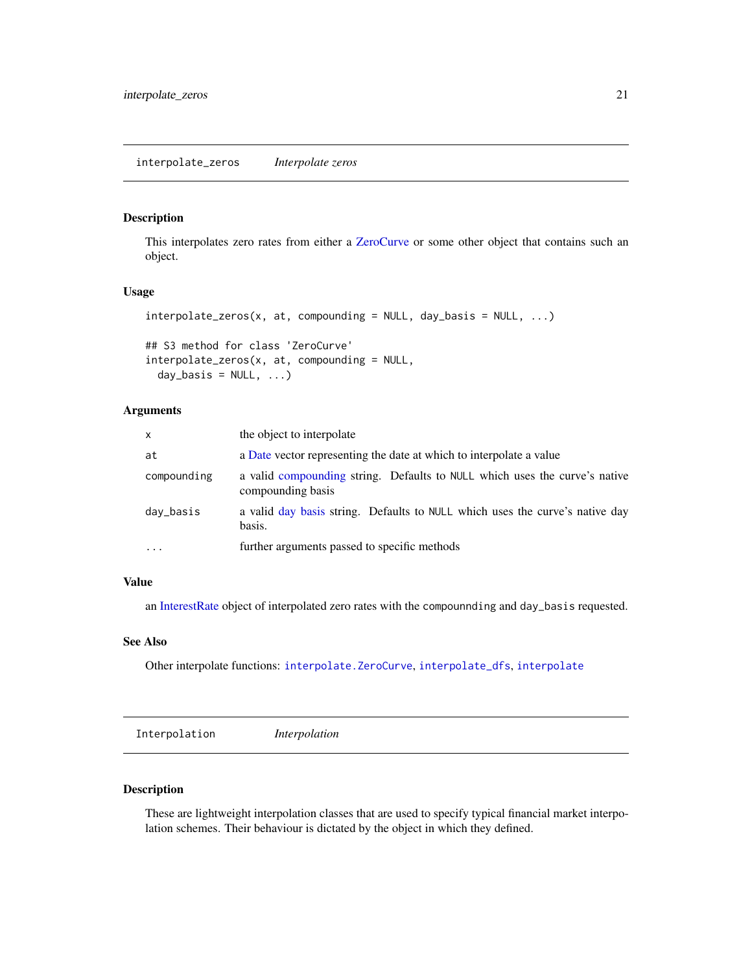<span id="page-20-1"></span><span id="page-20-0"></span>This interpolates zero rates from either a [ZeroCurve](#page-31-1) or some other object that contains such an object.

### Usage

```
interpolate\_zeros(x, at, compounding = NULL, day_basis = NULL, ...)
```

```
## S3 method for class 'ZeroCurve'
interpolate\_zeros(x, at, compounding = NULL,day_basis = NULL, ...)
```
#### Arguments

| $\mathsf{x}$ | the object to interpolate                                                                       |
|--------------|-------------------------------------------------------------------------------------------------|
| at           | a Date vector representing the date at which to interpolate a value                             |
| compounding  | a valid compounding string. Defaults to NULL which uses the curve's native<br>compounding basis |
| day_basis    | a valid day basis string. Defaults to NULL which uses the curve's native day<br>basis.          |
| $\cdots$     | further arguments passed to specific methods                                                    |

### Value

an [InterestRate](#page-16-1) object of interpolated zero rates with the compounnding and day\_basis requested.

### See Also

Other interpolate functions: [interpolate.ZeroCurve](#page-18-1), [interpolate\\_dfs](#page-19-1), [interpolate](#page-18-2)

<span id="page-20-2"></span>Interpolation *Interpolation*

### Description

These are lightweight interpolation classes that are used to specify typical financial market interpolation schemes. Their behaviour is dictated by the object in which they defined.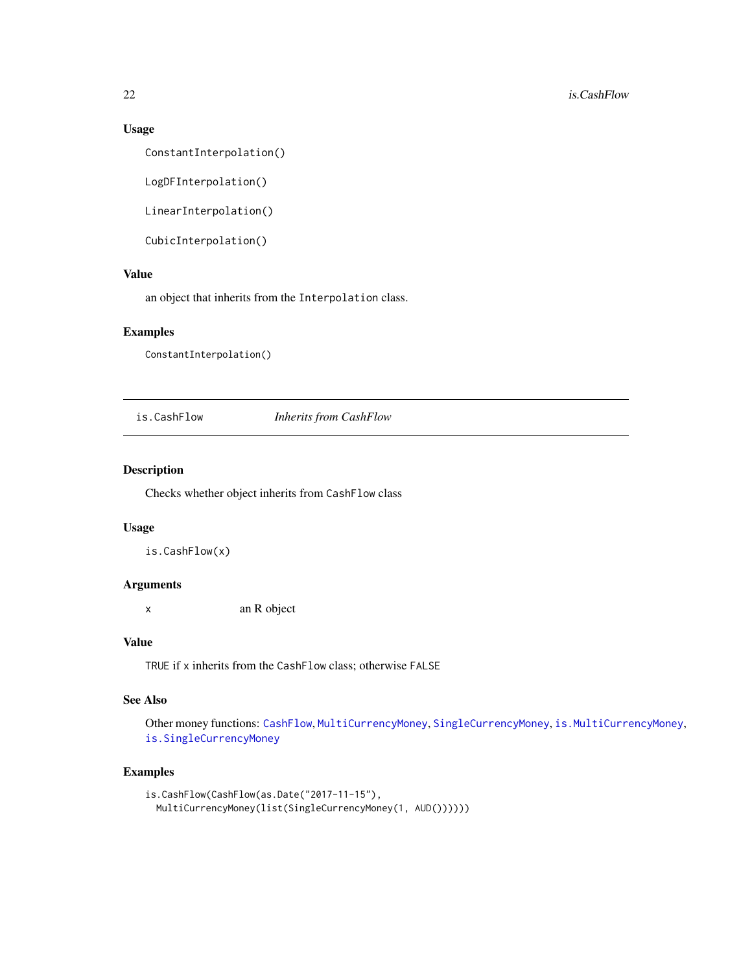### Usage

ConstantInterpolation()

LogDFInterpolation()

LinearInterpolation()

CubicInterpolation()

#### Value

an object that inherits from the Interpolation class.

### Examples

ConstantInterpolation()

<span id="page-21-1"></span>is.CashFlow *Inherits from CashFlow*

#### Description

Checks whether object inherits from CashFlow class

### Usage

is.CashFlow(x)

#### Arguments

x an R object

### Value

TRUE if x inherits from the CashFlow class; otherwise FALSE

#### See Also

Other money functions: [CashFlow](#page-4-1), [MultiCurrencyMoney](#page-28-1), [SingleCurrencyMoney](#page-30-1), [is.MultiCurrencyMoney](#page-24-1), [is.SingleCurrencyMoney](#page-25-1)

#### Examples

```
is.CashFlow(CashFlow(as.Date("2017-11-15"),
 MultiCurrencyMoney(list(SingleCurrencyMoney(1, AUD())))))
```
<span id="page-21-0"></span>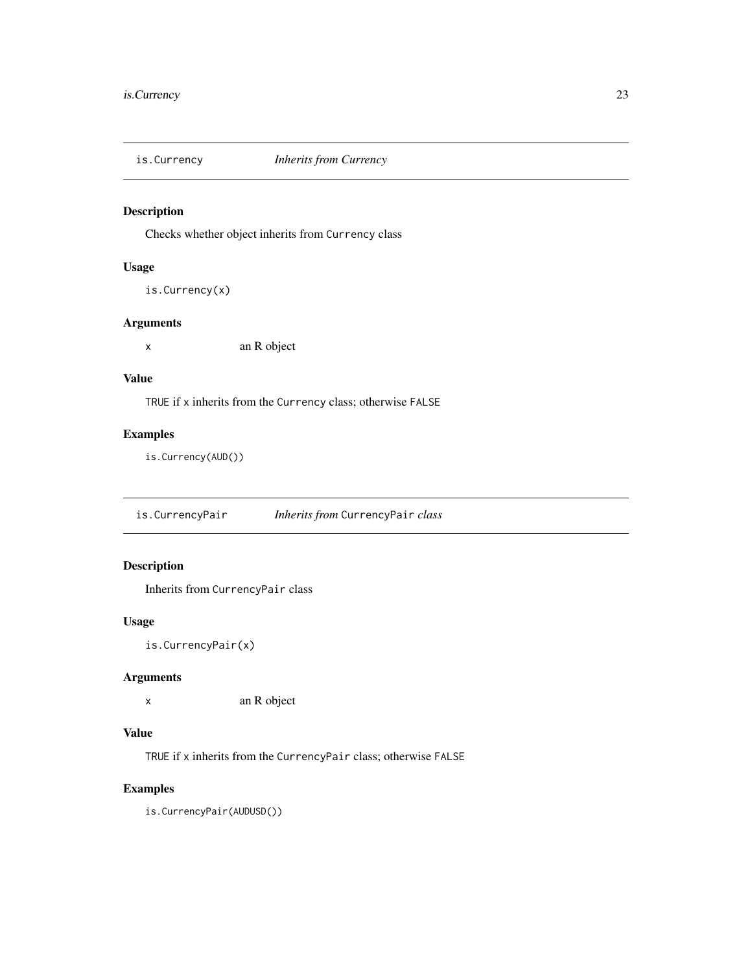<span id="page-22-0"></span>

Checks whether object inherits from Currency class

### Usage

```
is.Currency(x)
```
### Arguments

x an R object

### Value

TRUE if x inherits from the Currency class; otherwise FALSE

### Examples

is.Currency(AUD())

is.CurrencyPair *Inherits from* CurrencyPair *class*

### Description

Inherits from CurrencyPair class

### Usage

is.CurrencyPair(x)

### Arguments

x an R object

### Value

TRUE if x inherits from the CurrencyPair class; otherwise FALSE

### Examples

is.CurrencyPair(AUDUSD())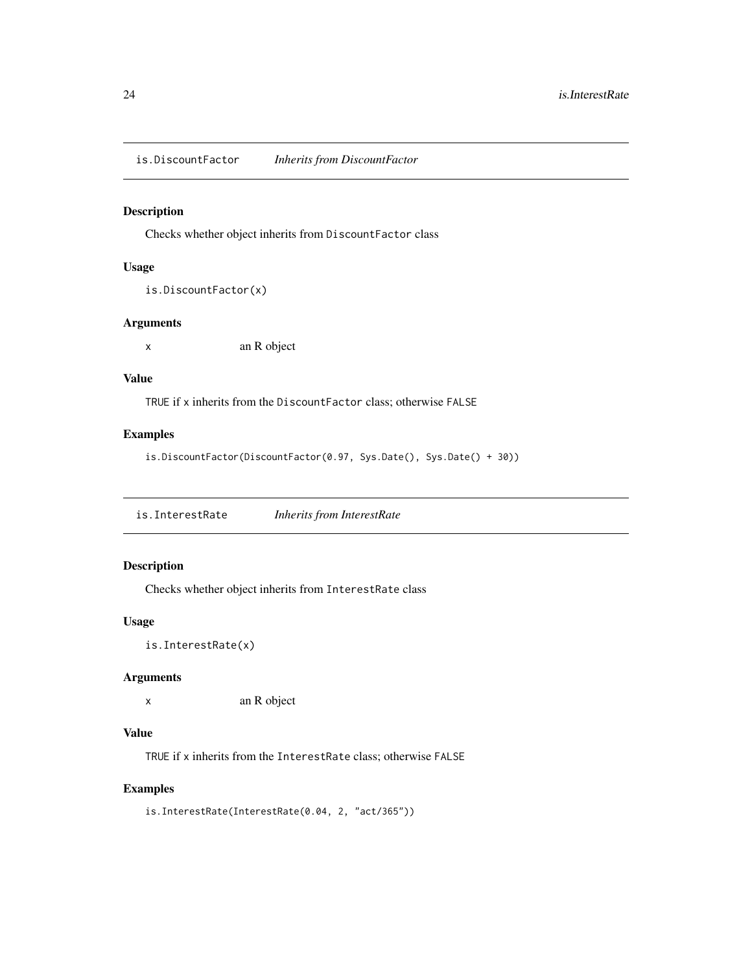<span id="page-23-0"></span>is.DiscountFactor *Inherits from DiscountFactor*

### Description

Checks whether object inherits from DiscountFactor class

### Usage

```
is.DiscountFactor(x)
```
### Arguments

x an R object

### Value

TRUE if x inherits from the DiscountFactor class; otherwise FALSE

### Examples

```
is.DiscountFactor(DiscountFactor(0.97, Sys.Date(), Sys.Date() + 30))
```
is.InterestRate *Inherits from InterestRate*

### Description

Checks whether object inherits from InterestRate class

### Usage

is.InterestRate(x)

### Arguments

x an R object

### Value

TRUE if x inherits from the InterestRate class; otherwise FALSE

### Examples

```
is.InterestRate(InterestRate(0.04, 2, "act/365"))
```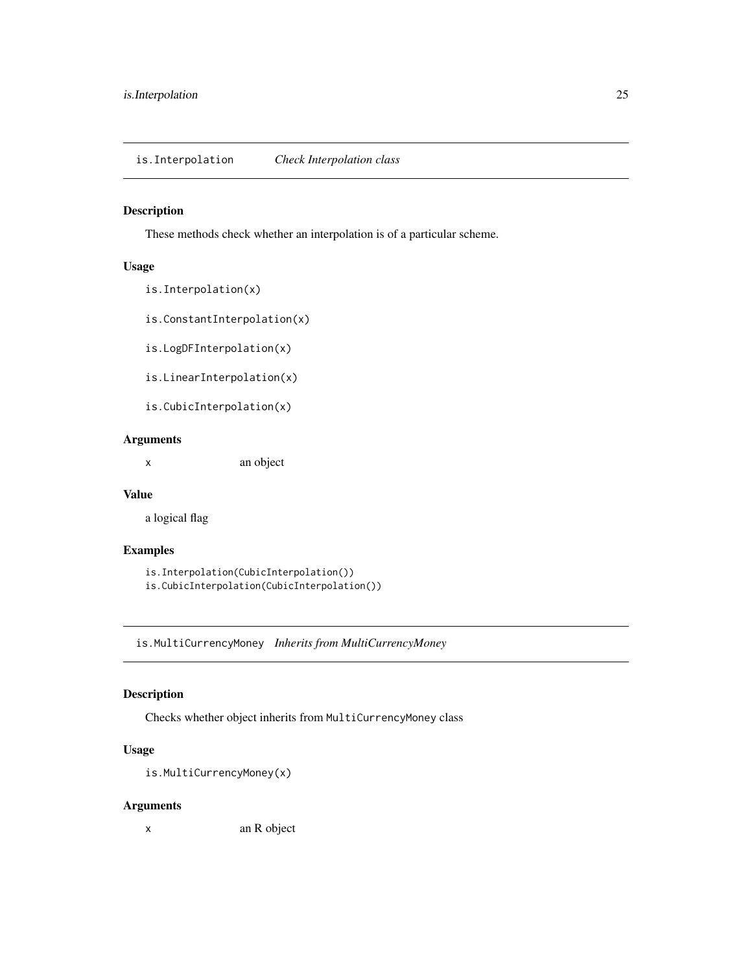<span id="page-24-0"></span>These methods check whether an interpolation is of a particular scheme.

#### Usage

```
is.Interpolation(x)
```
is.ConstantInterpolation(x)

is.LogDFInterpolation(x)

is.LinearInterpolation(x)

is.CubicInterpolation(x)

### Arguments

x an object

#### Value

a logical flag

### Examples

is.Interpolation(CubicInterpolation()) is.CubicInterpolation(CubicInterpolation())

<span id="page-24-1"></span>is.MultiCurrencyMoney *Inherits from MultiCurrencyMoney*

### Description

Checks whether object inherits from MultiCurrencyMoney class

### Usage

is.MultiCurrencyMoney(x)

### Arguments

x an R object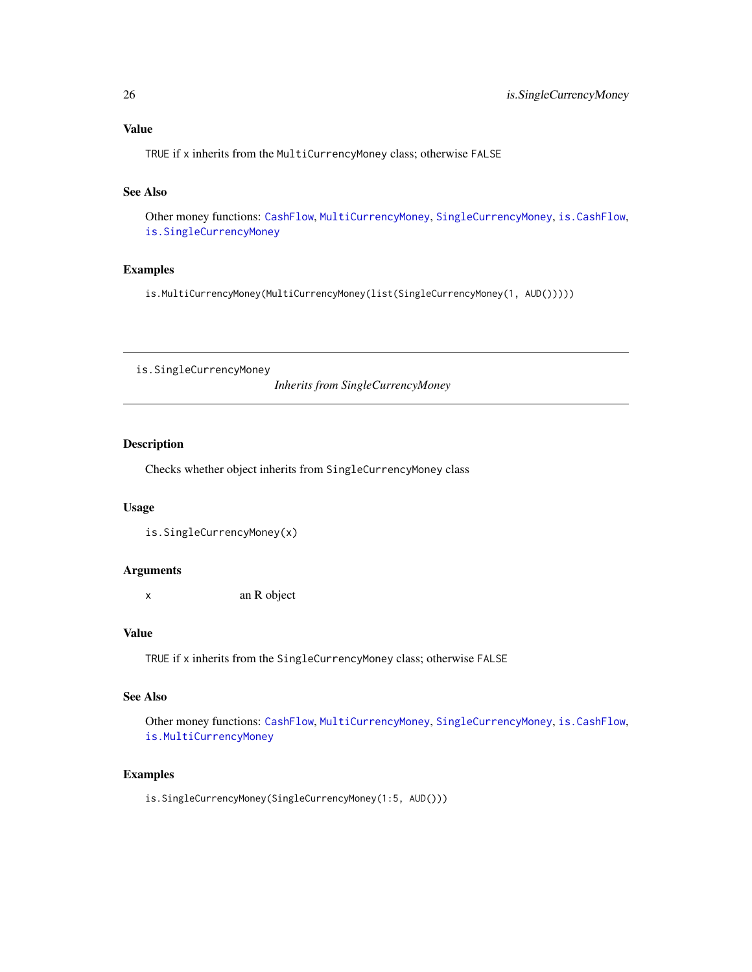### <span id="page-25-0"></span>Value

TRUE if x inherits from the MultiCurrencyMoney class; otherwise FALSE

### See Also

Other money functions: [CashFlow](#page-4-1), [MultiCurrencyMoney](#page-28-1), [SingleCurrencyMoney](#page-30-1), [is.CashFlow](#page-21-1), [is.SingleCurrencyMoney](#page-25-1)

### Examples

is.MultiCurrencyMoney(MultiCurrencyMoney(list(SingleCurrencyMoney(1, AUD()))))

<span id="page-25-1"></span>is.SingleCurrencyMoney

*Inherits from SingleCurrencyMoney*

### Description

Checks whether object inherits from SingleCurrencyMoney class

#### Usage

is.SingleCurrencyMoney(x)

#### Arguments

x an R object

### Value

TRUE if x inherits from the SingleCurrencyMoney class; otherwise FALSE

### See Also

Other money functions: [CashFlow](#page-4-1), [MultiCurrencyMoney](#page-28-1), [SingleCurrencyMoney](#page-30-1), [is.CashFlow](#page-21-1), [is.MultiCurrencyMoney](#page-24-1)

#### Examples

is.SingleCurrencyMoney(SingleCurrencyMoney(1:5, AUD()))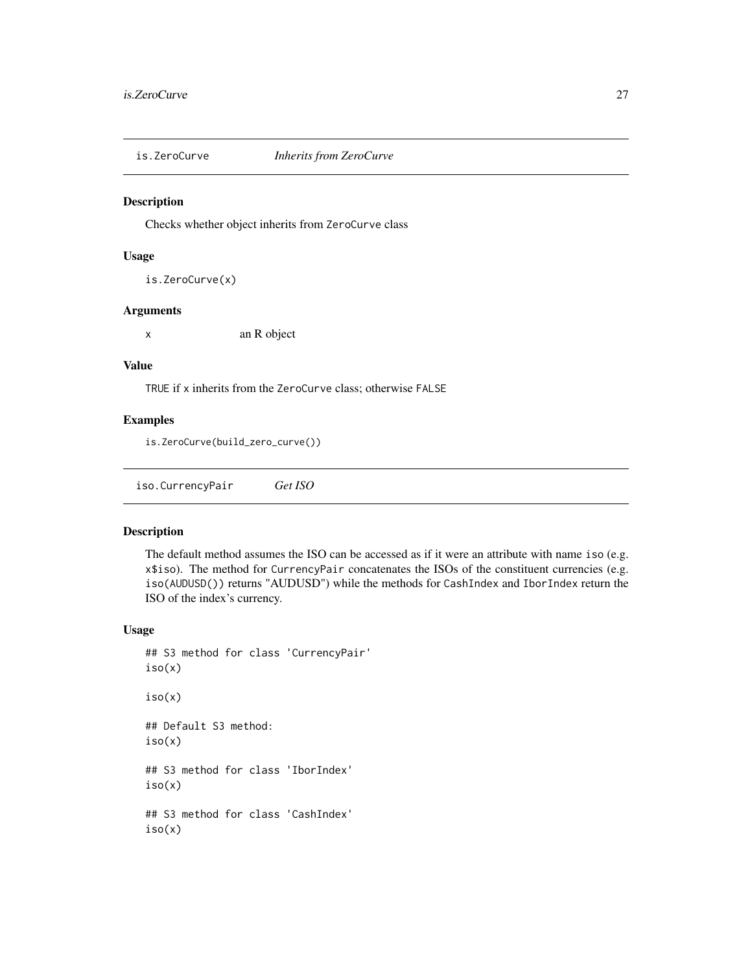<span id="page-26-0"></span>

Checks whether object inherits from ZeroCurve class

### Usage

is.ZeroCurve(x)

### Arguments

x an R object

#### Value

TRUE if x inherits from the ZeroCurve class; otherwise FALSE

#### Examples

is.ZeroCurve(build\_zero\_curve())

iso.CurrencyPair *Get ISO*

#### Description

The default method assumes the ISO can be accessed as if it were an attribute with name iso (e.g. x\$iso). The method for CurrencyPair concatenates the ISOs of the constituent currencies (e.g. iso(AUDUSD()) returns "AUDUSD") while the methods for CashIndex and IborIndex return the ISO of the index's currency.

### Usage

```
## S3 method for class 'CurrencyPair'
iso(x)
iso(x)
## Default S3 method:
iso(x)
## S3 method for class 'IborIndex'
iso(x)
## S3 method for class 'CashIndex'
iso(x)
```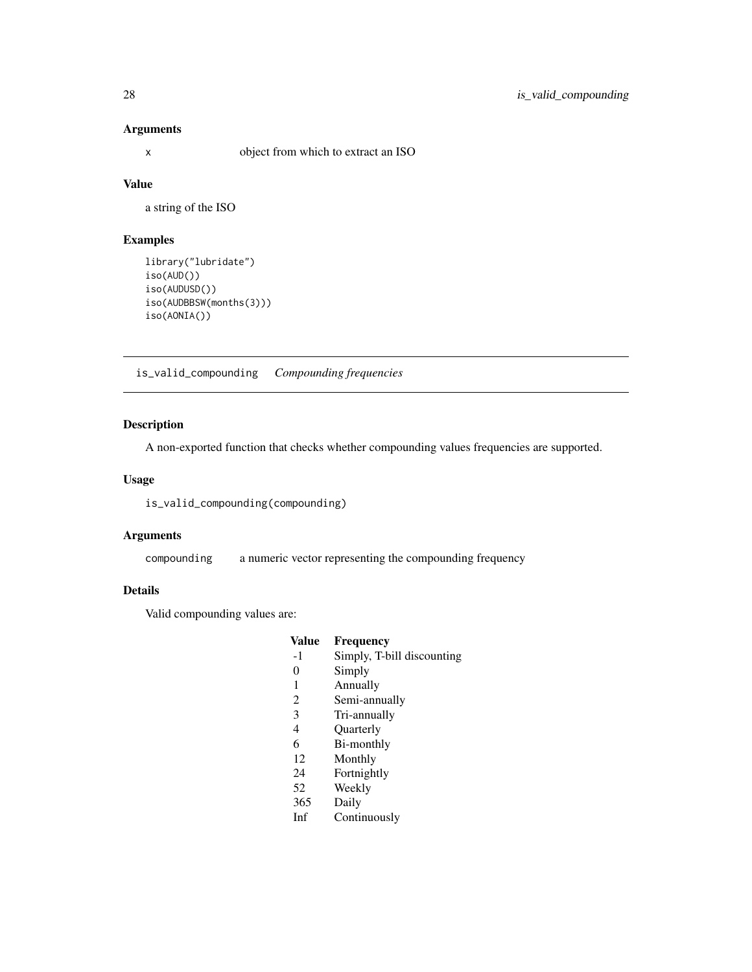### <span id="page-27-0"></span>Arguments

x object from which to extract an ISO

### Value

a string of the ISO

### Examples

```
library("lubridate")
iso(AUD())
iso(AUDUSD())
iso(AUDBBSW(months(3)))
iso(AONIA())
```
<span id="page-27-2"></span>is\_valid\_compounding *Compounding frequencies*

### <span id="page-27-1"></span>Description

A non-exported function that checks whether compounding values frequencies are supported.

#### Usage

is\_valid\_compounding(compounding)

#### Arguments

compounding a numeric vector representing the compounding frequency

### Details

Valid compounding values are:

### Value Frequency<br>-1 Simply, T-b Simply, T-bill discounting 0 Simply 1 Annually 2 Semi-annually 3 Tri-annually

- 4 Quarterly
- 6 Bi-monthly
- 12 Monthly
- 24 Fortnightly
- 52 Weekly
- 365 Daily
- Inf Continuously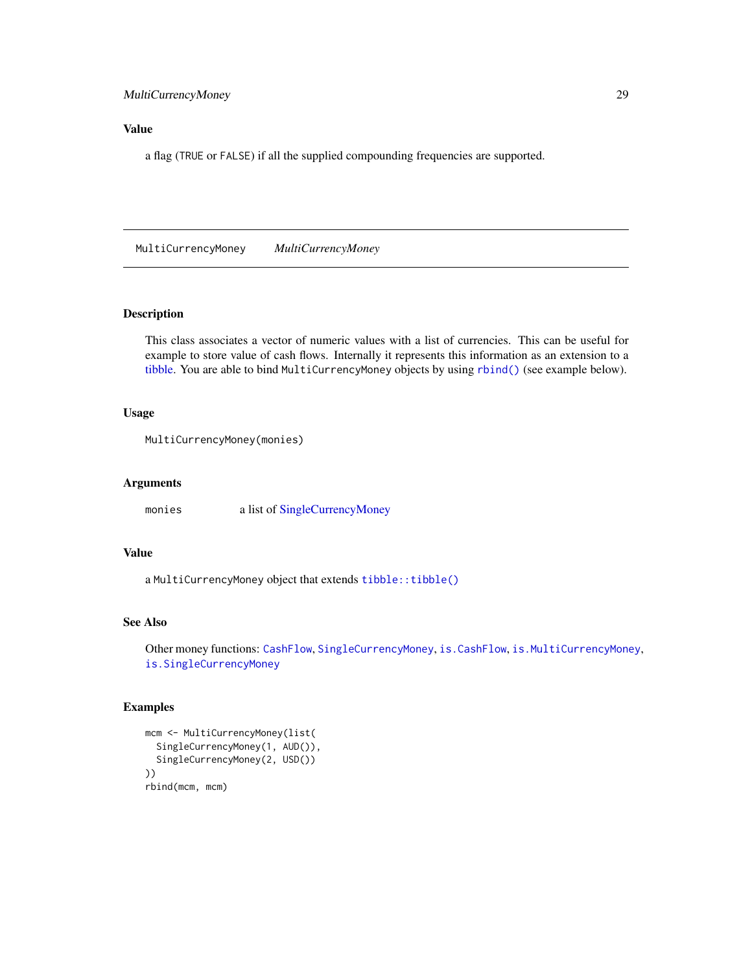### <span id="page-28-0"></span>Value

a flag (TRUE or FALSE) if all the supplied compounding frequencies are supported.

<span id="page-28-1"></span>MultiCurrencyMoney *MultiCurrencyMoney*

#### Description

This class associates a vector of numeric values with a list of currencies. This can be useful for example to store value of cash flows. Internally it represents this information as an extension to a [tibble.](#page-0-0) You are able to bind MultiCurrencyMoney objects by using [rbind\(\)](#page-0-0) (see example below).

### Usage

```
MultiCurrencyMoney(monies)
```
#### Arguments

monies a list of [SingleCurrencyMoney](#page-30-1)

### Value

a MultiCurrencyMoney object that extends [tibble::tibble\(\)](#page-0-0)

### See Also

```
Other money functions: CashFlow, SingleCurrencyMoney, is.CashFlow, is.MultiCurrencyMoney,
is.SingleCurrencyMoney
```
#### Examples

```
mcm <- MultiCurrencyMoney(list(
  SingleCurrencyMoney(1, AUD()),
  SingleCurrencyMoney(2, USD())
))
rbind(mcm, mcm)
```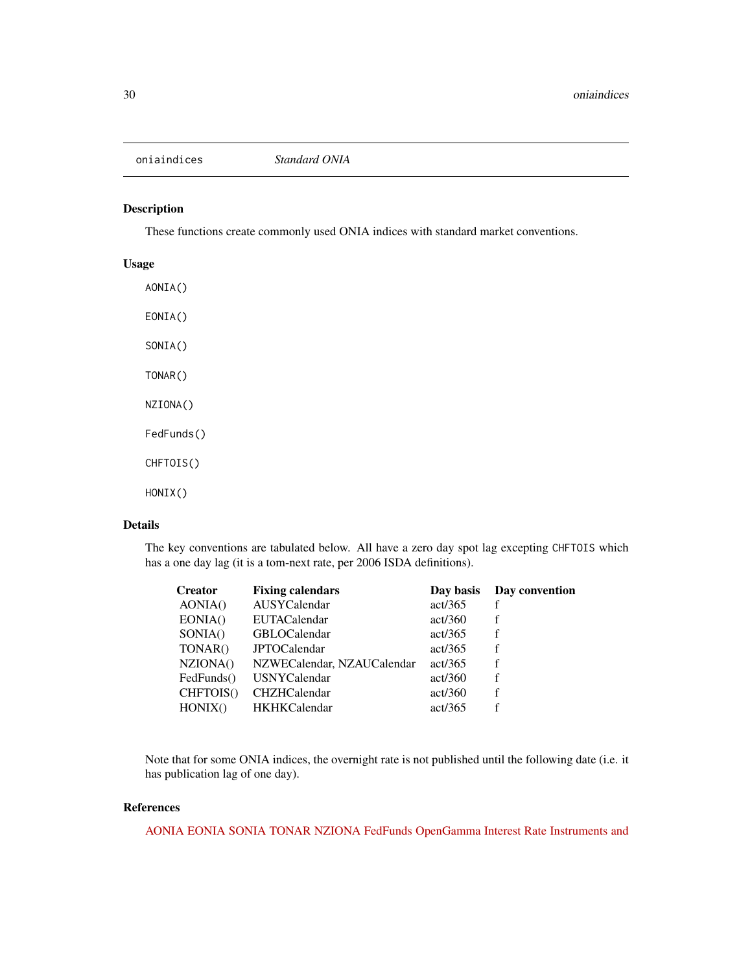<span id="page-29-1"></span><span id="page-29-0"></span>oniaindices *Standard ONIA*

### Description

These functions create commonly used ONIA indices with standard market conventions.

### Usage

AONIA() EONIA() SONIA() TONAR() NZIONA() FedFunds() CHFTOIS() HONIX()

#### Details

The key conventions are tabulated below. All have a zero day spot lag excepting CHFTOIS which has a one day lag (it is a tom-next rate, per 2006 ISDA definitions).

| <b>Fixing calendars</b>    | Day basis | Day convention |
|----------------------------|-----------|----------------|
| AUSYCalendar               | act/365   | f              |
| <b>EUTACalendar</b>        | act/360   | f              |
| <b>GBLOCalendar</b>        | act/365   | f              |
| <b>JPTOCalendar</b>        | act/365   | f              |
| NZWECalendar, NZAUCalendar | act/365   | f              |
| <b>USNYCalendar</b>        | act/360   | f              |
| <b>CHZHCalendar</b>        | act/360   | f              |
| <b>HKHKCalendar</b>        | act/365   |                |
|                            |           |                |

Note that for some ONIA indices, the overnight rate is not published until the following date (i.e. it has publication lag of one day).

### References

[AONIA](http://www.rba.gov.au/mkt-operations/resources/cash-rate-methodology/) [EONIA](http://www.emmi-benchmarks.eu/assets/files/Eonia%20Technical%20Features.pdf) [SONIA](https://www.wmba.org.uk/pages/index.cfm?page_id=31) [TONAR](https://www.boj.or.jp/en/statistics/market/short/mutan/index.htm/) [NZIONA](http://rbnz.govt.nz/statistics/tables/b2/) [FedFunds](http://www.federalreserve.gov/releases/H15/Current/#fn2) [OpenGamma Interest Rate Instruments and](http://opnga.ma/conventions)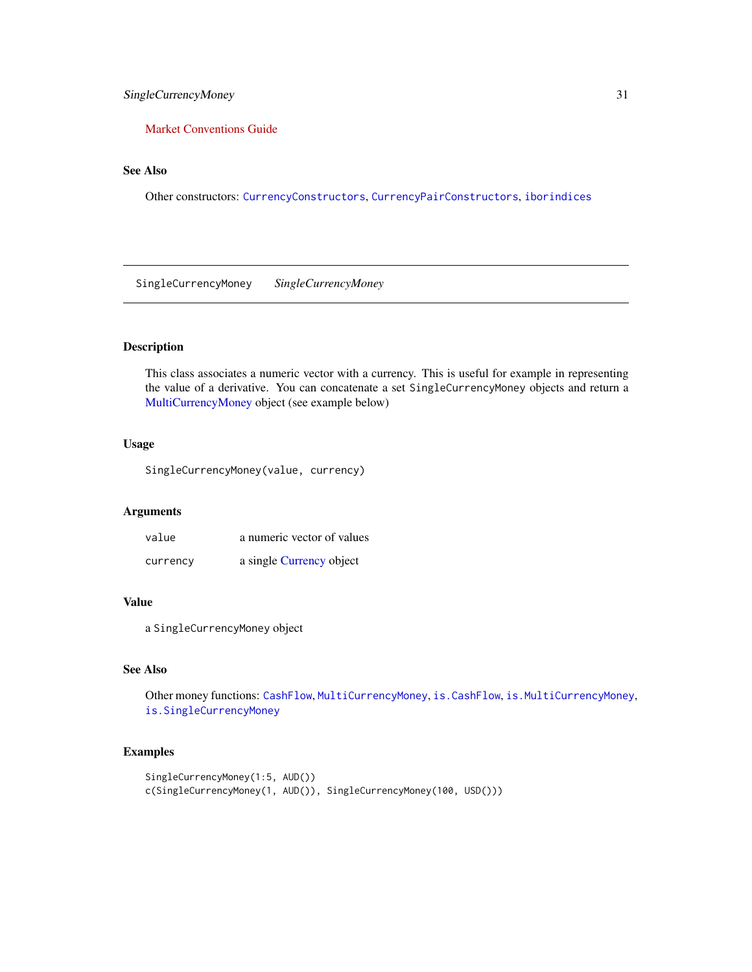### <span id="page-30-0"></span>[SingleCurrencyMoney](http://opnga.ma/conventions) 31

### [Market Conventions Guide](http://opnga.ma/conventions)

### See Also

Other constructors: [CurrencyConstructors](#page-6-2), [CurrencyPairConstructors](#page-8-1), [iborindices](#page-13-1)

<span id="page-30-1"></span>SingleCurrencyMoney *SingleCurrencyMoney*

### Description

This class associates a numeric vector with a currency. This is useful for example in representing the value of a derivative. You can concatenate a set SingleCurrencyMoney objects and return a [MultiCurrencyMoney](#page-28-1) object (see example below)

### Usage

SingleCurrencyMoney(value, currency)

#### Arguments

| value    | a numeric vector of values |
|----------|----------------------------|
| currency | a single Currency object   |

### Value

a SingleCurrencyMoney object

### See Also

Other money functions: [CashFlow](#page-4-1), [MultiCurrencyMoney](#page-28-1), [is.CashFlow](#page-21-1), [is.MultiCurrencyMoney](#page-24-1), [is.SingleCurrencyMoney](#page-25-1)

### Examples

```
SingleCurrencyMoney(1:5, AUD())
c(SingleCurrencyMoney(1, AUD()), SingleCurrencyMoney(100, USD()))
```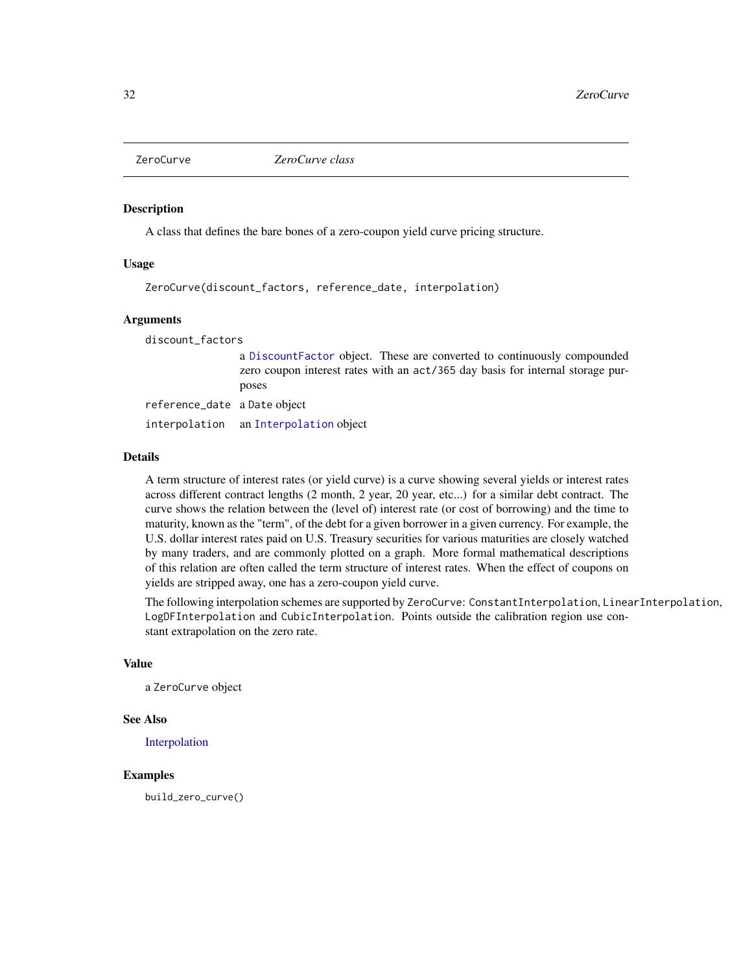<span id="page-31-1"></span><span id="page-31-0"></span>

A class that defines the bare bones of a zero-coupon yield curve pricing structure.

#### Usage

ZeroCurve(discount\_factors, reference\_date, interpolation)

#### Arguments

discount\_factors

a [DiscountFactor](#page-11-1) object. These are converted to continuously compounded zero coupon interest rates with an act/365 day basis for internal storage purposes

reference\_date a Date object interpolation an [Interpolation](#page-20-2) object

#### Details

A term structure of interest rates (or yield curve) is a curve showing several yields or interest rates across different contract lengths (2 month, 2 year, 20 year, etc...) for a similar debt contract. The curve shows the relation between the (level of) interest rate (or cost of borrowing) and the time to maturity, known as the "term", of the debt for a given borrower in a given currency. For example, the U.S. dollar interest rates paid on U.S. Treasury securities for various maturities are closely watched by many traders, and are commonly plotted on a graph. More formal mathematical descriptions of this relation are often called the term structure of interest rates. When the effect of coupons on yields are stripped away, one has a zero-coupon yield curve.

The following interpolation schemes are supported by ZeroCurve: ConstantInterpolation, LinearInterpolation, LogDFInterpolation and CubicInterpolation. Points outside the calibration region use constant extrapolation on the zero rate.

#### Value

a ZeroCurve object

#### See Also

[Interpolation](#page-20-2)

#### Examples

build\_zero\_curve()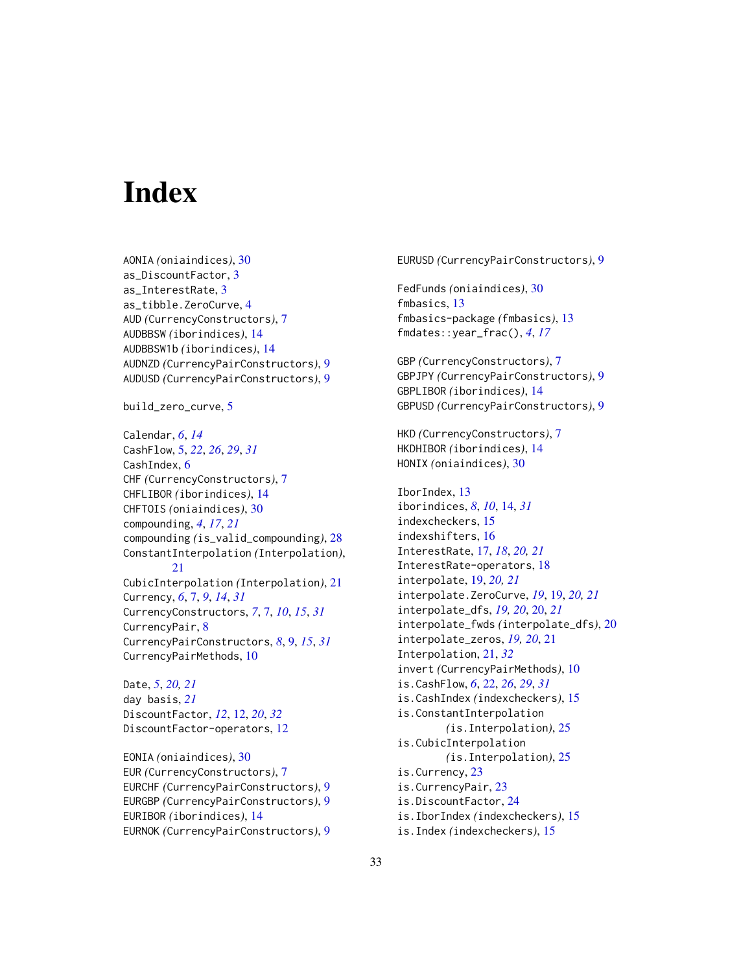# <span id="page-32-0"></span>**Index**

AONIA *(*oniaindices*)*, [30](#page-29-0) as\_DiscountFactor, [3](#page-2-0) as\_InterestRate, [3](#page-2-0) as\_tibble.ZeroCurve, [4](#page-3-0) AUD *(*CurrencyConstructors*)*, [7](#page-6-0) AUDBBSW *(*iborindices*)*, [14](#page-13-0) AUDBBSW1b *(*iborindices*)*, [14](#page-13-0) AUDNZD *(*CurrencyPairConstructors*)*, [9](#page-8-0) AUDUSD *(*CurrencyPairConstructors*)*, [9](#page-8-0)

build\_zero\_curve, [5](#page-4-0)

Calendar, *[6](#page-5-0)*, *[14](#page-13-0)* CashFlow, [5,](#page-4-0) *[22](#page-21-0)*, *[26](#page-25-0)*, *[29](#page-28-0)*, *[31](#page-30-0)* CashIndex, [6](#page-5-0) CHF *(*CurrencyConstructors*)*, [7](#page-6-0) CHFLIBOR *(*iborindices*)*, [14](#page-13-0) CHFTOIS *(*oniaindices*)*, [30](#page-29-0) compounding, *[4](#page-3-0)*, *[17](#page-16-0)*, *[21](#page-20-0)* compounding *(*is\_valid\_compounding*)*, [28](#page-27-0) ConstantInterpolation *(*Interpolation*)*, [21](#page-20-0)

CubicInterpolation *(*Interpolation*)*, [21](#page-20-0) Currency, *[6](#page-5-0)*, [7,](#page-6-0) *[9](#page-8-0)*, *[14](#page-13-0)*, *[31](#page-30-0)* CurrencyConstructors, *[7](#page-6-0)*, [7,](#page-6-0) *[10](#page-9-0)*, *[15](#page-14-0)*, *[31](#page-30-0)* CurrencyPair, [8](#page-7-0) CurrencyPairConstructors, *[8](#page-7-0)*, [9,](#page-8-0) *[15](#page-14-0)*, *[31](#page-30-0)* CurrencyPairMethods, [10](#page-9-0)

Date, *[5](#page-4-0)*, *[20,](#page-19-0) [21](#page-20-0)* day basis, *[21](#page-20-0)* DiscountFactor, *[12](#page-11-0)*, [12,](#page-11-0) *[20](#page-19-0)*, *[32](#page-31-0)* DiscountFactor-operators, [12](#page-11-0)

EONIA *(*oniaindices*)*, [30](#page-29-0) EUR *(*CurrencyConstructors*)*, [7](#page-6-0) EURCHF *(*CurrencyPairConstructors*)*, [9](#page-8-0) EURGBP *(*CurrencyPairConstructors*)*, [9](#page-8-0) EURIBOR *(*iborindices*)*, [14](#page-13-0) EURNOK *(*CurrencyPairConstructors*)*, [9](#page-8-0) EURUSD *(*CurrencyPairConstructors*)*, [9](#page-8-0) FedFunds *(*oniaindices*)*, [30](#page-29-0) fmbasics, [13](#page-12-0) fmbasics-package *(*fmbasics*)*, [13](#page-12-0) fmdates::year\_frac(), *[4](#page-3-0)*, *[17](#page-16-0)* GBP *(*CurrencyConstructors*)*, [7](#page-6-0) GBPJPY *(*CurrencyPairConstructors*)*, [9](#page-8-0) GBPLIBOR *(*iborindices*)*, [14](#page-13-0) GBPUSD *(*CurrencyPairConstructors*)*, [9](#page-8-0) HKD *(*CurrencyConstructors*)*, [7](#page-6-0) HKDHIBOR *(*iborindices*)*, [14](#page-13-0) HONIX *(*oniaindices*)*, [30](#page-29-0) IborIndex, [13](#page-12-0) iborindices, *[8](#page-7-0)*, *[10](#page-9-0)*, [14,](#page-13-0) *[31](#page-30-0)* indexcheckers, [15](#page-14-0) indexshifters, [16](#page-15-0) InterestRate, [17,](#page-16-0) *[18](#page-17-0)*, *[20,](#page-19-0) [21](#page-20-0)* InterestRate-operators, [18](#page-17-0) interpolate, [19,](#page-18-0) *[20,](#page-19-0) [21](#page-20-0)* interpolate.ZeroCurve, *[19](#page-18-0)*, [19,](#page-18-0) *[20,](#page-19-0) [21](#page-20-0)* interpolate\_dfs, *[19,](#page-18-0) [20](#page-19-0)*, [20,](#page-19-0) *[21](#page-20-0)* interpolate\_fwds *(*interpolate\_dfs*)*, [20](#page-19-0) interpolate\_zeros, *[19,](#page-18-0) [20](#page-19-0)*, [21](#page-20-0) Interpolation, [21,](#page-20-0) *[32](#page-31-0)* invert *(*CurrencyPairMethods*)*, [10](#page-9-0) is.CashFlow, *[6](#page-5-0)*, [22,](#page-21-0) *[26](#page-25-0)*, *[29](#page-28-0)*, *[31](#page-30-0)* is.CashIndex *(*indexcheckers*)*, [15](#page-14-0) is.ConstantInterpolation *(*is.Interpolation*)*, [25](#page-24-0) is.CubicInterpolation *(*is.Interpolation*)*, [25](#page-24-0) is.Currency, [23](#page-22-0) is.CurrencyPair, [23](#page-22-0) is.DiscountFactor, [24](#page-23-0) is.IborIndex *(*indexcheckers*)*, [15](#page-14-0) is.Index *(*indexcheckers*)*, [15](#page-14-0)